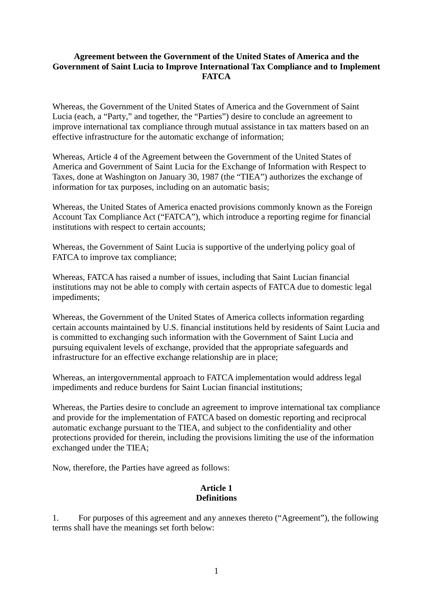# **Agreement between the Government of the United States of America and the Government of Saint Lucia to Improve International Tax Compliance and to Implement FATCA**

Whereas, the Government of the United States of America and the Government of Saint Lucia (each, a "Party," and together, the "Parties") desire to conclude an agreement to improve international tax compliance through mutual assistance in tax matters based on an effective infrastructure for the automatic exchange of information;

Whereas, Article 4 of the Agreement between the Government of the United States of America and Government of Saint Lucia for the Exchange of Information with Respect to Taxes, done at Washington on January 30, 1987 (the "TIEA") authorizes the exchange of information for tax purposes, including on an automatic basis;

Whereas, the United States of America enacted provisions commonly known as the Foreign Account Tax Compliance Act ("FATCA"), which introduce a reporting regime for financial institutions with respect to certain accounts;

Whereas, the Government of Saint Lucia is supportive of the underlying policy goal of FATCA to improve tax compliance;

Whereas, FATCA has raised a number of issues, including that Saint Lucian financial institutions may not be able to comply with certain aspects of FATCA due to domestic legal impediments;

Whereas, the Government of the United States of America collects information regarding certain accounts maintained by U.S. financial institutions held by residents of Saint Lucia and is committed to exchanging such information with the Government of Saint Lucia and pursuing equivalent levels of exchange, provided that the appropriate safeguards and infrastructure for an effective exchange relationship are in place;

Whereas, an intergovernmental approach to FATCA implementation would address legal impediments and reduce burdens for Saint Lucian financial institutions;

Whereas, the Parties desire to conclude an agreement to improve international tax compliance and provide for the implementation of FATCA based on domestic reporting and reciprocal automatic exchange pursuant to the TIEA, and subject to the confidentiality and other protections provided for therein, including the provisions limiting the use of the information exchanged under the TIEA;

Now, therefore, the Parties have agreed as follows:

# **Article 1 Definitions**

1. For purposes of this agreement and any annexes thereto ("Agreement"), the following terms shall have the meanings set forth below: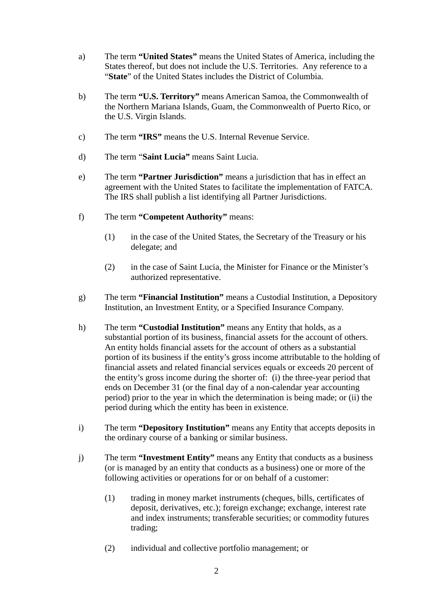- a) The term **"United States"** means the United States of America, including the States thereof, but does not include the U.S. Territories. Any reference to a "**State**" of the United States includes the District of Columbia.
- b) The term **"U.S. Territory"** means American Samoa, the Commonwealth of the Northern Mariana Islands, Guam, the Commonwealth of Puerto Rico, or the U.S. Virgin Islands.
- c) The term **"IRS"** means the U.S. Internal Revenue Service.
- d) The term "**Saint Lucia"** means Saint Lucia.
- e) The term **"Partner Jurisdiction"** means a jurisdiction that has in effect an agreement with the United States to facilitate the implementation of FATCA. The IRS shall publish a list identifying all Partner Jurisdictions.
- f) The term **"Competent Authority"** means:
	- (1) in the case of the United States, the Secretary of the Treasury or his delegate; and
	- (2) in the case of Saint Lucia, the Minister for Finance or the Minister's authorized representative.
- g) The term **"Financial Institution"** means a Custodial Institution, a Depository Institution, an Investment Entity, or a Specified Insurance Company.
- h) The term **"Custodial Institution"** means any Entity that holds, as a substantial portion of its business, financial assets for the account of others. An entity holds financial assets for the account of others as a substantial portion of its business if the entity's gross income attributable to the holding of financial assets and related financial services equals or exceeds 20 percent of the entity's gross income during the shorter of: (i) the three-year period that ends on December 31 (or the final day of a non-calendar year accounting period) prior to the year in which the determination is being made; or (ii) the period during which the entity has been in existence.
- i) The term **"Depository Institution"** means any Entity that accepts deposits in the ordinary course of a banking or similar business.
- j) The term **"Investment Entity"** means any Entity that conducts as a business (or is managed by an entity that conducts as a business) one or more of the following activities or operations for or on behalf of a customer:
	- (1) trading in money market instruments (cheques, bills, certificates of deposit, derivatives, etc.); foreign exchange; exchange, interest rate and index instruments; transferable securities; or commodity futures trading;
	- (2) individual and collective portfolio management; or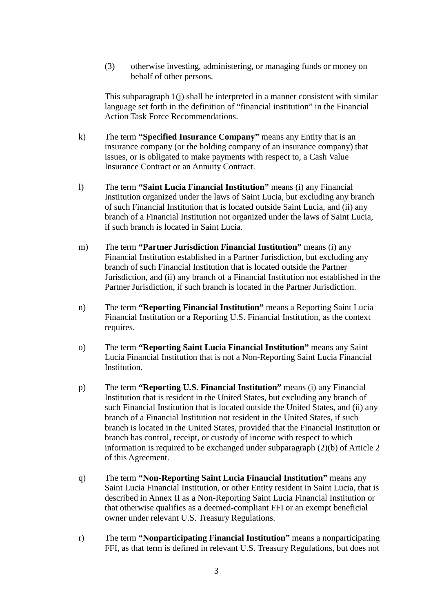(3) otherwise investing, administering, or managing funds or money on behalf of other persons.

This subparagraph 1(j) shall be interpreted in a manner consistent with similar language set forth in the definition of "financial institution" in the Financial Action Task Force Recommendations.

- k) The term **"Specified Insurance Company"** means any Entity that is an insurance company (or the holding company of an insurance company) that issues, or is obligated to make payments with respect to, a Cash Value Insurance Contract or an Annuity Contract.
- l) The term **"Saint Lucia Financial Institution"** means (i) any Financial Institution organized under the laws of Saint Lucia, but excluding any branch of such Financial Institution that is located outside Saint Lucia, and (ii) any branch of a Financial Institution not organized under the laws of Saint Lucia, if such branch is located in Saint Lucia.
- m) The term **"Partner Jurisdiction Financial Institution"** means (i) any Financial Institution established in a Partner Jurisdiction, but excluding any branch of such Financial Institution that is located outside the Partner Jurisdiction, and (ii) any branch of a Financial Institution not established in the Partner Jurisdiction, if such branch is located in the Partner Jurisdiction.
- n) The term **"Reporting Financial Institution"** means a Reporting Saint Lucia Financial Institution or a Reporting U.S. Financial Institution, as the context requires.
- o) The term **"Reporting Saint Lucia Financial Institution"** means any Saint Lucia Financial Institution that is not a Non-Reporting Saint Lucia Financial Institution.
- p) The term **"Reporting U.S. Financial Institution"** means (i) any Financial Institution that is resident in the United States, but excluding any branch of such Financial Institution that is located outside the United States, and (ii) any branch of a Financial Institution not resident in the United States, if such branch is located in the United States, provided that the Financial Institution or branch has control, receipt, or custody of income with respect to which information is required to be exchanged under subparagraph (2)(b) of Article 2 of this Agreement.
- q) The term **"Non-Reporting Saint Lucia Financial Institution"** means any Saint Lucia Financial Institution, or other Entity resident in Saint Lucia, that is described in Annex II as a Non-Reporting Saint Lucia Financial Institution or that otherwise qualifies as a deemed-compliant FFI or an exempt beneficial owner under relevant U.S. Treasury Regulations.
- r) The term **"Nonparticipating Financial Institution"** means a nonparticipating FFI, as that term is defined in relevant U.S. Treasury Regulations, but does not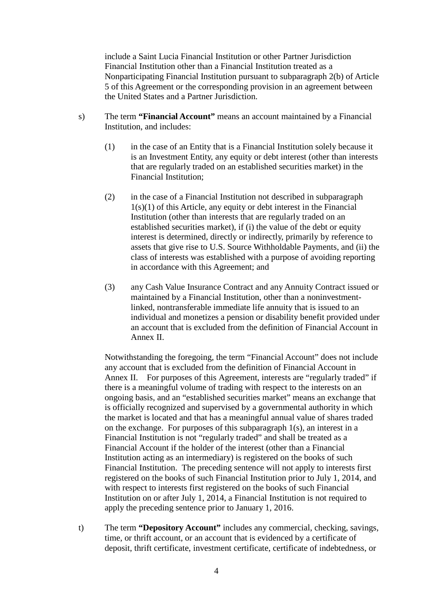include a Saint Lucia Financial Institution or other Partner Jurisdiction Financial Institution other than a Financial Institution treated as a Nonparticipating Financial Institution pursuant to subparagraph 2(b) of Article 5 of this Agreement or the corresponding provision in an agreement between the United States and a Partner Jurisdiction.

- s) The term **"Financial Account"** means an account maintained by a Financial Institution, and includes:
	- (1) in the case of an Entity that is a Financial Institution solely because it is an Investment Entity, any equity or debt interest (other than interests that are regularly traded on an established securities market) in the Financial Institution;
	- (2) in the case of a Financial Institution not described in subparagraph  $1(s)(1)$  of this Article, any equity or debt interest in the Financial Institution (other than interests that are regularly traded on an established securities market), if (i) the value of the debt or equity interest is determined, directly or indirectly, primarily by reference to assets that give rise to U.S. Source Withholdable Payments, and (ii) the class of interests was established with a purpose of avoiding reporting in accordance with this Agreement; and
	- (3) any Cash Value Insurance Contract and any Annuity Contract issued or maintained by a Financial Institution, other than a noninvestmentlinked, nontransferable immediate life annuity that is issued to an individual and monetizes a pension or disability benefit provided under an account that is excluded from the definition of Financial Account in Annex II.

Notwithstanding the foregoing, the term "Financial Account" does not include any account that is excluded from the definition of Financial Account in Annex II. For purposes of this Agreement, interests are "regularly traded" if there is a meaningful volume of trading with respect to the interests on an ongoing basis, and an "established securities market" means an exchange that is officially recognized and supervised by a governmental authority in which the market is located and that has a meaningful annual value of shares traded on the exchange. For purposes of this subparagraph 1(s), an interest in a Financial Institution is not "regularly traded" and shall be treated as a Financial Account if the holder of the interest (other than a Financial Institution acting as an intermediary) is registered on the books of such Financial Institution. The preceding sentence will not apply to interests first registered on the books of such Financial Institution prior to July 1, 2014, and with respect to interests first registered on the books of such Financial Institution on or after July 1, 2014, a Financial Institution is not required to apply the preceding sentence prior to January 1, 2016.

t) The term **"Depository Account"** includes any commercial, checking, savings, time, or thrift account, or an account that is evidenced by a certificate of deposit, thrift certificate, investment certificate, certificate of indebtedness, or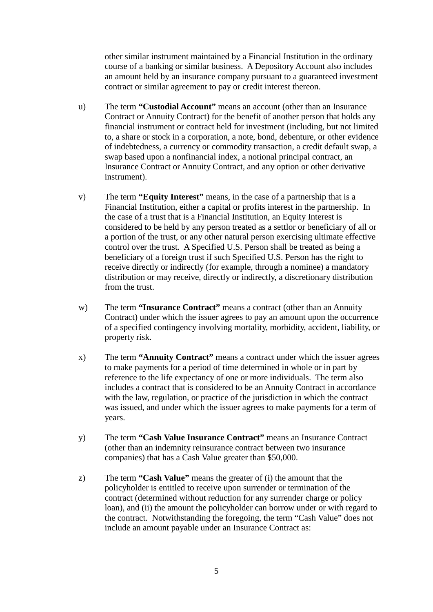other similar instrument maintained by a Financial Institution in the ordinary course of a banking or similar business. A Depository Account also includes an amount held by an insurance company pursuant to a guaranteed investment contract or similar agreement to pay or credit interest thereon.

- u) The term **"Custodial Account"** means an account (other than an Insurance Contract or Annuity Contract) for the benefit of another person that holds any financial instrument or contract held for investment (including, but not limited to, a share or stock in a corporation, a note, bond, debenture, or other evidence of indebtedness, a currency or commodity transaction, a credit default swap, a swap based upon a nonfinancial index, a notional principal contract, an Insurance Contract or Annuity Contract, and any option or other derivative instrument).
- v) The term **"Equity Interest"** means, in the case of a partnership that is a Financial Institution, either a capital or profits interest in the partnership. In the case of a trust that is a Financial Institution, an Equity Interest is considered to be held by any person treated as a settlor or beneficiary of all or a portion of the trust, or any other natural person exercising ultimate effective control over the trust. A Specified U.S. Person shall be treated as being a beneficiary of a foreign trust if such Specified U.S. Person has the right to receive directly or indirectly (for example, through a nominee) a mandatory distribution or may receive, directly or indirectly, a discretionary distribution from the trust.
- w) The term **"Insurance Contract"** means a contract (other than an Annuity Contract) under which the issuer agrees to pay an amount upon the occurrence of a specified contingency involving mortality, morbidity, accident, liability, or property risk.
- x) The term **"Annuity Contract"** means a contract under which the issuer agrees to make payments for a period of time determined in whole or in part by reference to the life expectancy of one or more individuals. The term also includes a contract that is considered to be an Annuity Contract in accordance with the law, regulation, or practice of the jurisdiction in which the contract was issued, and under which the issuer agrees to make payments for a term of years.
- y) The term **"Cash Value Insurance Contract"** means an Insurance Contract (other than an indemnity reinsurance contract between two insurance companies) that has a Cash Value greater than \$50,000.
- z) The term **"Cash Value"** means the greater of (i) the amount that the policyholder is entitled to receive upon surrender or termination of the contract (determined without reduction for any surrender charge or policy loan), and (ii) the amount the policyholder can borrow under or with regard to the contract. Notwithstanding the foregoing, the term "Cash Value" does not include an amount payable under an Insurance Contract as: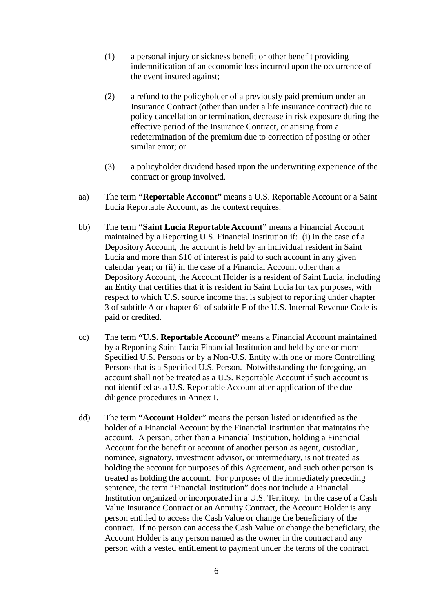- (1) a personal injury or sickness benefit or other benefit providing indemnification of an economic loss incurred upon the occurrence of the event insured against;
- (2) a refund to the policyholder of a previously paid premium under an Insurance Contract (other than under a life insurance contract) due to policy cancellation or termination, decrease in risk exposure during the effective period of the Insurance Contract, or arising from a redetermination of the premium due to correction of posting or other similar error; or
- (3) a policyholder dividend based upon the underwriting experience of the contract or group involved.
- aa) The term **"Reportable Account"** means a U.S. Reportable Account or a Saint Lucia Reportable Account, as the context requires.
- bb) The term **"Saint Lucia Reportable Account"** means a Financial Account maintained by a Reporting U.S. Financial Institution if: (i) in the case of a Depository Account, the account is held by an individual resident in Saint Lucia and more than \$10 of interest is paid to such account in any given calendar year; or (ii) in the case of a Financial Account other than a Depository Account, the Account Holder is a resident of Saint Lucia, including an Entity that certifies that it is resident in Saint Lucia for tax purposes, with respect to which U.S. source income that is subject to reporting under chapter 3 of subtitle A or chapter 61 of subtitle F of the U.S. Internal Revenue Code is paid or credited.
- cc) The term **"U.S. Reportable Account"** means a Financial Account maintained by a Reporting Saint Lucia Financial Institution and held by one or more Specified U.S. Persons or by a Non-U.S. Entity with one or more Controlling Persons that is a Specified U.S. Person. Notwithstanding the foregoing, an account shall not be treated as a U.S. Reportable Account if such account is not identified as a U.S. Reportable Account after application of the due diligence procedures in Annex I.
- dd) The term **"Account Holder**" means the person listed or identified as the holder of a Financial Account by the Financial Institution that maintains the account. A person, other than a Financial Institution, holding a Financial Account for the benefit or account of another person as agent, custodian, nominee, signatory, investment advisor, or intermediary, is not treated as holding the account for purposes of this Agreement, and such other person is treated as holding the account. For purposes of the immediately preceding sentence, the term "Financial Institution" does not include a Financial Institution organized or incorporated in a U.S. Territory. In the case of a Cash Value Insurance Contract or an Annuity Contract, the Account Holder is any person entitled to access the Cash Value or change the beneficiary of the contract. If no person can access the Cash Value or change the beneficiary, the Account Holder is any person named as the owner in the contract and any person with a vested entitlement to payment under the terms of the contract.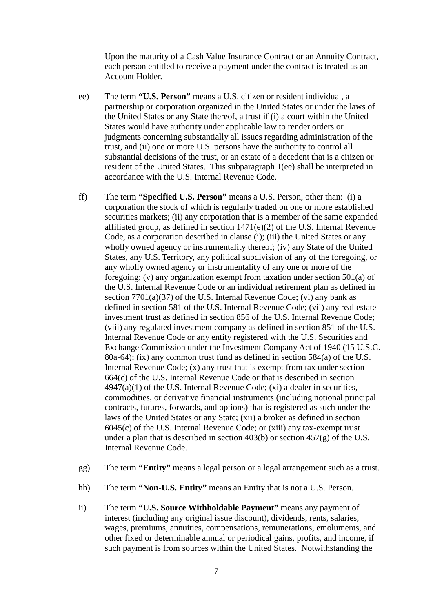Upon the maturity of a Cash Value Insurance Contract or an Annuity Contract, each person entitled to receive a payment under the contract is treated as an Account Holder.

- ee) The term **"U.S. Person"** means a U.S. citizen or resident individual, a partnership or corporation organized in the United States or under the laws of the United States or any State thereof, a trust if (i) a court within the United States would have authority under applicable law to render orders or judgments concerning substantially all issues regarding administration of the trust, and (ii) one or more U.S. persons have the authority to control all substantial decisions of the trust, or an estate of a decedent that is a citizen or resident of the United States. This subparagraph 1(ee) shall be interpreted in accordance with the U.S. Internal Revenue Code.
- ff) The term **"Specified U.S. Person"** means a U.S. Person, other than: (i) a corporation the stock of which is regularly traded on one or more established securities markets; (ii) any corporation that is a member of the same expanded affiliated group, as defined in section  $1471(e)(2)$  of the U.S. Internal Revenue Code, as a corporation described in clause (i); (iii) the United States or any wholly owned agency or instrumentality thereof; (iv) any State of the United States, any U.S. Territory, any political subdivision of any of the foregoing, or any wholly owned agency or instrumentality of any one or more of the foregoing; (v) any organization exempt from taxation under section 501(a) of the U.S. Internal Revenue Code or an individual retirement plan as defined in section 7701(a)(37) of the U.S. Internal Revenue Code; (vi) any bank as defined in section 581 of the U.S. Internal Revenue Code; (vii) any real estate investment trust as defined in section 856 of the U.S. Internal Revenue Code; (viii) any regulated investment company as defined in section 851 of the U.S. Internal Revenue Code or any entity registered with the U.S. Securities and Exchange Commission under the Investment Company Act of 1940 (15 U.S.C. 80a-64); (ix) any common trust fund as defined in section 584(a) of the U.S. Internal Revenue Code; (x) any trust that is exempt from tax under section 664(c) of the U.S. Internal Revenue Code or that is described in section  $4947(a)(1)$  of the U.S. Internal Revenue Code; (xi) a dealer in securities, commodities, or derivative financial instruments (including notional principal contracts, futures, forwards, and options) that is registered as such under the laws of the United States or any State; (xii) a broker as defined in section  $6045(c)$  of the U.S. Internal Revenue Code; or (xiii) any tax-exempt trust under a plan that is described in section  $403(b)$  or section  $457(g)$  of the U.S. Internal Revenue Code.
- gg) The term **"Entity"** means a legal person or a legal arrangement such as a trust.
- hh) The term **"Non-U.S. Entity"** means an Entity that is not a U.S. Person.
- ii) The term **"U.S. Source Withholdable Payment"** means any payment of interest (including any original issue discount), dividends, rents, salaries, wages, premiums, annuities, compensations, remunerations, emoluments, and other fixed or determinable annual or periodical gains, profits, and income, if such payment is from sources within the United States. Notwithstanding the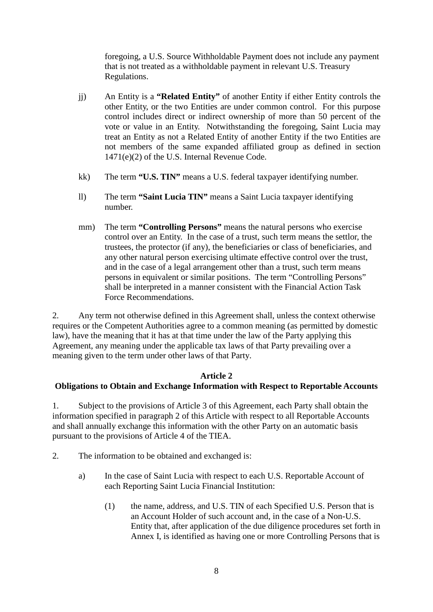foregoing, a U.S. Source Withholdable Payment does not include any payment that is not treated as a withholdable payment in relevant U.S. Treasury Regulations.

- jj) An Entity is a **"Related Entity"** of another Entity if either Entity controls the other Entity, or the two Entities are under common control. For this purpose control includes direct or indirect ownership of more than 50 percent of the vote or value in an Entity. Notwithstanding the foregoing, Saint Lucia may treat an Entity as not a Related Entity of another Entity if the two Entities are not members of the same expanded affiliated group as defined in section 1471(e)(2) of the U.S. Internal Revenue Code.
- kk) The term **"U.S. TIN"** means a U.S. federal taxpayer identifying number.
- ll) The term **"Saint Lucia TIN"** means a Saint Lucia taxpayer identifying number.
- mm) The term **"Controlling Persons"** means the natural persons who exercise control over an Entity. In the case of a trust, such term means the settlor, the trustees, the protector (if any), the beneficiaries or class of beneficiaries, and any other natural person exercising ultimate effective control over the trust, and in the case of a legal arrangement other than a trust, such term means persons in equivalent or similar positions. The term "Controlling Persons" shall be interpreted in a manner consistent with the Financial Action Task Force Recommendations.

2. Any term not otherwise defined in this Agreement shall, unless the context otherwise requires or the Competent Authorities agree to a common meaning (as permitted by domestic law), have the meaning that it has at that time under the law of the Party applying this Agreement, any meaning under the applicable tax laws of that Party prevailing over a meaning given to the term under other laws of that Party.

#### **Article 2**

#### **Obligations to Obtain and Exchange Information with Respect to Reportable Accounts**

1. Subject to the provisions of Article 3 of this Agreement, each Party shall obtain the information specified in paragraph 2 of this Article with respect to all Reportable Accounts and shall annually exchange this information with the other Party on an automatic basis pursuant to the provisions of Article 4 of the TIEA.

- 2. The information to be obtained and exchanged is:
	- a) In the case of Saint Lucia with respect to each U.S. Reportable Account of each Reporting Saint Lucia Financial Institution:
		- (1) the name, address, and U.S. TIN of each Specified U.S. Person that is an Account Holder of such account and, in the case of a Non-U.S. Entity that, after application of the due diligence procedures set forth in Annex I, is identified as having one or more Controlling Persons that is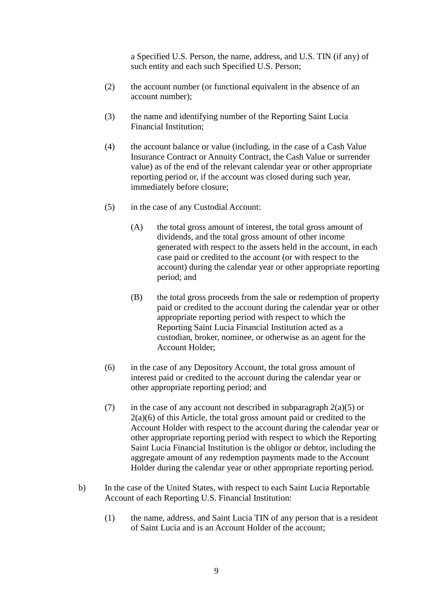a Specified U.S. Person, the name, address, and U.S. TIN (if any) of such entity and each such Specified U.S. Person;

- (2) the account number (or functional equivalent in the absence of an account number);
- (3) the name and identifying number of the Reporting Saint Lucia Financial Institution;
- (4) the account balance or value (including, in the case of a Cash Value Insurance Contract or Annuity Contract, the Cash Value or surrender value) as of the end of the relevant calendar year or other appropriate reporting period or, if the account was closed during such year, immediately before closure;
- (5) in the case of any Custodial Account:
	- (A) the total gross amount of interest, the total gross amount of dividends, and the total gross amount of other income generated with respect to the assets held in the account, in each case paid or credited to the account (or with respect to the account) during the calendar year or other appropriate reporting period; and
	- (B) the total gross proceeds from the sale or redemption of property paid or credited to the account during the calendar year or other appropriate reporting period with respect to which the Reporting Saint Lucia Financial Institution acted as a custodian, broker, nominee, or otherwise as an agent for the Account Holder;
- (6) in the case of any Depository Account, the total gross amount of interest paid or credited to the account during the calendar year or other appropriate reporting period; and
- (7) in the case of any account not described in subparagraph  $2(a)(5)$  or  $2(a)(6)$  of this Article, the total gross amount paid or credited to the Account Holder with respect to the account during the calendar year or other appropriate reporting period with respect to which the Reporting Saint Lucia Financial Institution is the obligor or debtor, including the aggregate amount of any redemption payments made to the Account Holder during the calendar year or other appropriate reporting period.
- b) In the case of the United States, with respect to each Saint Lucia Reportable Account of each Reporting U.S. Financial Institution:
	- (1) the name, address, and Saint Lucia TIN of any person that is a resident of Saint Lucia and is an Account Holder of the account;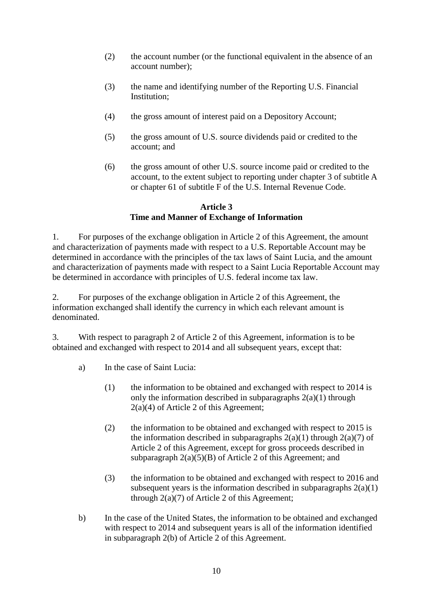- (2) the account number (or the functional equivalent in the absence of an account number);
- (3) the name and identifying number of the Reporting U.S. Financial Institution;
- (4) the gross amount of interest paid on a Depository Account;
- (5) the gross amount of U.S. source dividends paid or credited to the account; and
- (6) the gross amount of other U.S. source income paid or credited to the account, to the extent subject to reporting under chapter 3 of subtitle A or chapter 61 of subtitle F of the U.S. Internal Revenue Code.

#### **Article 3 Time and Manner of Exchange of Information**

1. For purposes of the exchange obligation in Article 2 of this Agreement, the amount and characterization of payments made with respect to a U.S. Reportable Account may be determined in accordance with the principles of the tax laws of Saint Lucia, and the amount and characterization of payments made with respect to a Saint Lucia Reportable Account may be determined in accordance with principles of U.S. federal income tax law.

2. For purposes of the exchange obligation in Article 2 of this Agreement, the information exchanged shall identify the currency in which each relevant amount is denominated.

3. With respect to paragraph 2 of Article 2 of this Agreement, information is to be obtained and exchanged with respect to 2014 and all subsequent years, except that:

- a) In the case of Saint Lucia:
	- (1) the information to be obtained and exchanged with respect to 2014 is only the information described in subparagraphs  $2(a)(1)$  through 2(a)(4) of Article 2 of this Agreement;
	- (2) the information to be obtained and exchanged with respect to 2015 is the information described in subparagraphs  $2(a)(1)$  through  $2(a)(7)$  of Article 2 of this Agreement, except for gross proceeds described in subparagraph 2(a)(5)(B) of Article 2 of this Agreement; and
	- (3) the information to be obtained and exchanged with respect to 2016 and subsequent years is the information described in subparagraphs  $2(a)(1)$ through 2(a)(7) of Article 2 of this Agreement;
- b) In the case of the United States, the information to be obtained and exchanged with respect to 2014 and subsequent years is all of the information identified in subparagraph 2(b) of Article 2 of this Agreement.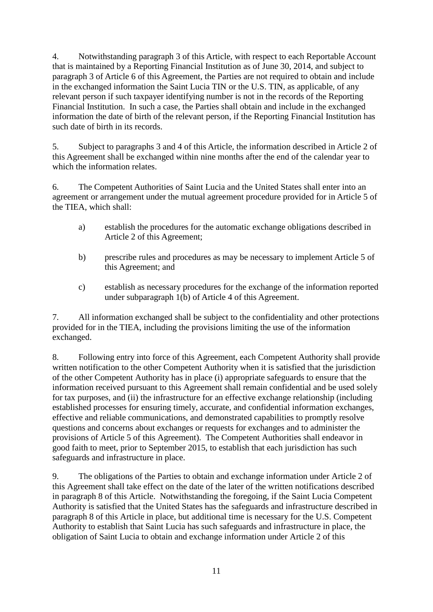4. Notwithstanding paragraph 3 of this Article, with respect to each Reportable Account that is maintained by a Reporting Financial Institution as of June 30, 2014, and subject to paragraph 3 of Article 6 of this Agreement, the Parties are not required to obtain and include in the exchanged information the Saint Lucia TIN or the U.S. TIN, as applicable, of any relevant person if such taxpayer identifying number is not in the records of the Reporting Financial Institution. In such a case, the Parties shall obtain and include in the exchanged information the date of birth of the relevant person, if the Reporting Financial Institution has such date of birth in its records.

5. Subject to paragraphs 3 and 4 of this Article, the information described in Article 2 of this Agreement shall be exchanged within nine months after the end of the calendar year to which the information relates.

6. The Competent Authorities of Saint Lucia and the United States shall enter into an agreement or arrangement under the mutual agreement procedure provided for in Article 5 of the TIEA, which shall:

- a) establish the procedures for the automatic exchange obligations described in Article 2 of this Agreement;
- b) prescribe rules and procedures as may be necessary to implement Article 5 of this Agreement; and
- c) establish as necessary procedures for the exchange of the information reported under subparagraph 1(b) of Article 4 of this Agreement.

7. All information exchanged shall be subject to the confidentiality and other protections provided for in the TIEA, including the provisions limiting the use of the information exchanged.

8. Following entry into force of this Agreement, each Competent Authority shall provide written notification to the other Competent Authority when it is satisfied that the jurisdiction of the other Competent Authority has in place (i) appropriate safeguards to ensure that the information received pursuant to this Agreement shall remain confidential and be used solely for tax purposes, and (ii) the infrastructure for an effective exchange relationship (including established processes for ensuring timely, accurate, and confidential information exchanges, effective and reliable communications, and demonstrated capabilities to promptly resolve questions and concerns about exchanges or requests for exchanges and to administer the provisions of Article 5 of this Agreement). The Competent Authorities shall endeavor in good faith to meet, prior to September 2015, to establish that each jurisdiction has such safeguards and infrastructure in place.

9. The obligations of the Parties to obtain and exchange information under Article 2 of this Agreement shall take effect on the date of the later of the written notifications described in paragraph 8 of this Article. Notwithstanding the foregoing, if the Saint Lucia Competent Authority is satisfied that the United States has the safeguards and infrastructure described in paragraph 8 of this Article in place, but additional time is necessary for the U.S. Competent Authority to establish that Saint Lucia has such safeguards and infrastructure in place, the obligation of Saint Lucia to obtain and exchange information under Article 2 of this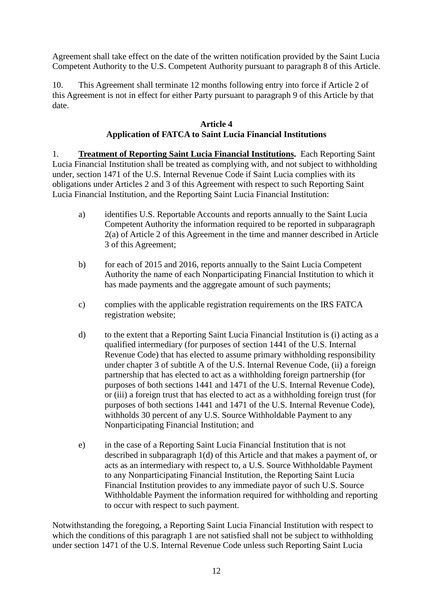Agreement shall take effect on the date of the written notification provided by the Saint Lucia Competent Authority to the U.S. Competent Authority pursuant to paragraph 8 of this Article.

10. This Agreement shall terminate 12 months following entry into force if Article 2 of this Agreement is not in effect for either Party pursuant to paragraph 9 of this Article by that date.

# **Article 4 Application of FATCA to Saint Lucia Financial Institutions**

1. **Treatment of Reporting Saint Lucia Financial Institutions.** Each Reporting Saint Lucia Financial Institution shall be treated as complying with, and not subject to withholding under, section 1471 of the U.S. Internal Revenue Code if Saint Lucia complies with its obligations under Articles 2 and 3 of this Agreement with respect to such Reporting Saint Lucia Financial Institution, and the Reporting Saint Lucia Financial Institution:

- a) identifies U.S. Reportable Accounts and reports annually to the Saint Lucia Competent Authority the information required to be reported in subparagraph 2(a) of Article 2 of this Agreement in the time and manner described in Article 3 of this Agreement;
- b) for each of 2015 and 2016, reports annually to the Saint Lucia Competent Authority the name of each Nonparticipating Financial Institution to which it has made payments and the aggregate amount of such payments;
- c) complies with the applicable registration requirements on the IRS FATCA registration website;
- d) to the extent that a Reporting Saint Lucia Financial Institution is (i) acting as a qualified intermediary (for purposes of section 1441 of the U.S. Internal Revenue Code) that has elected to assume primary withholding responsibility under chapter 3 of subtitle A of the U.S. Internal Revenue Code, (ii) a foreign partnership that has elected to act as a withholding foreign partnership (for purposes of both sections 1441 and 1471 of the U.S. Internal Revenue Code), or (iii) a foreign trust that has elected to act as a withholding foreign trust (for purposes of both sections 1441 and 1471 of the U.S. Internal Revenue Code), withholds 30 percent of any U.S. Source Withholdable Payment to any Nonparticipating Financial Institution; and
- e) in the case of a Reporting Saint Lucia Financial Institution that is not described in subparagraph 1(d) of this Article and that makes a payment of, or acts as an intermediary with respect to, a U.S. Source Withholdable Payment to any Nonparticipating Financial Institution, the Reporting Saint Lucia Financial Institution provides to any immediate payor of such U.S. Source Withholdable Payment the information required for withholding and reporting to occur with respect to such payment.

Notwithstanding the foregoing, a Reporting Saint Lucia Financial Institution with respect to which the conditions of this paragraph 1 are not satisfied shall not be subject to withholding under section 1471 of the U.S. Internal Revenue Code unless such Reporting Saint Lucia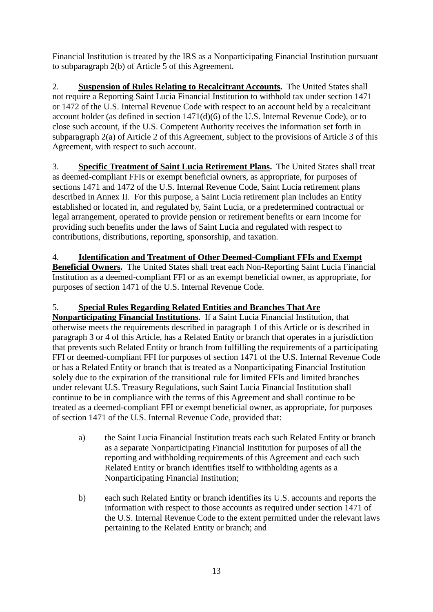Financial Institution is treated by the IRS as a Nonparticipating Financial Institution pursuant to subparagraph 2(b) of Article 5 of this Agreement.

2. **Suspension of Rules Relating to Recalcitrant Accounts.** The United States shall not require a Reporting Saint Lucia Financial Institution to withhold tax under section 1471 or 1472 of the U.S. Internal Revenue Code with respect to an account held by a recalcitrant account holder (as defined in section 1471(d)(6) of the U.S. Internal Revenue Code), or to close such account, if the U.S. Competent Authority receives the information set forth in subparagraph 2(a) of Article 2 of this Agreement, subject to the provisions of Article 3 of this Agreement, with respect to such account.

3. **Specific Treatment of Saint Lucia Retirement Plans.** The United States shall treat as deemed-compliant FFIs or exempt beneficial owners, as appropriate, for purposes of sections 1471 and 1472 of the U.S. Internal Revenue Code, Saint Lucia retirement plans described in Annex II. For this purpose, a Saint Lucia retirement plan includes an Entity established or located in, and regulated by, Saint Lucia, or a predetermined contractual or legal arrangement, operated to provide pension or retirement benefits or earn income for providing such benefits under the laws of Saint Lucia and regulated with respect to contributions, distributions, reporting, sponsorship, and taxation.

# 4. **Identification and Treatment of Other Deemed-Compliant FFIs and Exempt**

**Beneficial Owners.** The United States shall treat each Non-Reporting Saint Lucia Financial Institution as a deemed-compliant FFI or as an exempt beneficial owner, as appropriate, for purposes of section 1471 of the U.S. Internal Revenue Code.

# 5. **Special Rules Regarding Related Entities and Branches That Are**

**Nonparticipating Financial Institutions.** If a Saint Lucia Financial Institution, that otherwise meets the requirements described in paragraph 1 of this Article or is described in paragraph 3 or 4 of this Article, has a Related Entity or branch that operates in a jurisdiction that prevents such Related Entity or branch from fulfilling the requirements of a participating FFI or deemed-compliant FFI for purposes of section 1471 of the U.S. Internal Revenue Code or has a Related Entity or branch that is treated as a Nonparticipating Financial Institution solely due to the expiration of the transitional rule for limited FFIs and limited branches under relevant U.S. Treasury Regulations, such Saint Lucia Financial Institution shall continue to be in compliance with the terms of this Agreement and shall continue to be treated as a deemed-compliant FFI or exempt beneficial owner, as appropriate, for purposes of section 1471 of the U.S. Internal Revenue Code, provided that:

- a) the Saint Lucia Financial Institution treats each such Related Entity or branch as a separate Nonparticipating Financial Institution for purposes of all the reporting and withholding requirements of this Agreement and each such Related Entity or branch identifies itself to withholding agents as a Nonparticipating Financial Institution;
- b) each such Related Entity or branch identifies its U.S. accounts and reports the information with respect to those accounts as required under section 1471 of the U.S. Internal Revenue Code to the extent permitted under the relevant laws pertaining to the Related Entity or branch; and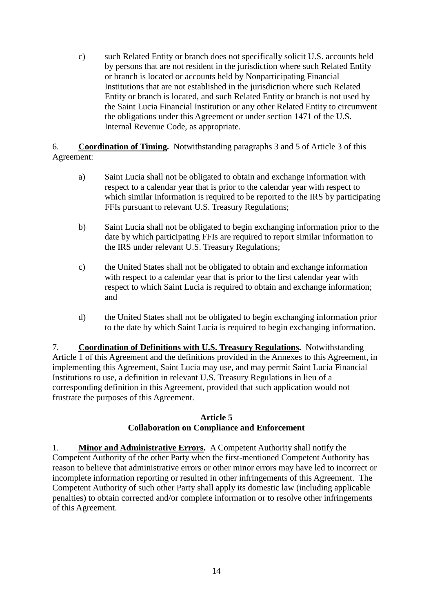c) such Related Entity or branch does not specifically solicit U.S. accounts held by persons that are not resident in the jurisdiction where such Related Entity or branch is located or accounts held by Nonparticipating Financial Institutions that are not established in the jurisdiction where such Related Entity or branch is located, and such Related Entity or branch is not used by the Saint Lucia Financial Institution or any other Related Entity to circumvent the obligations under this Agreement or under section 1471 of the U.S. Internal Revenue Code, as appropriate.

6. **Coordination of Timing.** Notwithstanding paragraphs 3 and 5 of Article 3 of this Agreement:

- a) Saint Lucia shall not be obligated to obtain and exchange information with respect to a calendar year that is prior to the calendar year with respect to which similar information is required to be reported to the IRS by participating FFIs pursuant to relevant U.S. Treasury Regulations;
- b) Saint Lucia shall not be obligated to begin exchanging information prior to the date by which participating FFIs are required to report similar information to the IRS under relevant U.S. Treasury Regulations;
- c) the United States shall not be obligated to obtain and exchange information with respect to a calendar year that is prior to the first calendar year with respect to which Saint Lucia is required to obtain and exchange information; and
- d) the United States shall not be obligated to begin exchanging information prior to the date by which Saint Lucia is required to begin exchanging information.

7. **Coordination of Definitions with U.S. Treasury Regulations.** Notwithstanding Article 1 of this Agreement and the definitions provided in the Annexes to this Agreement, in implementing this Agreement, Saint Lucia may use, and may permit Saint Lucia Financial Institutions to use, a definition in relevant U.S. Treasury Regulations in lieu of a corresponding definition in this Agreement, provided that such application would not frustrate the purposes of this Agreement.

# **Article 5 Collaboration on Compliance and Enforcement**

1. **Minor and Administrative Errors.** A Competent Authority shall notify the Competent Authority of the other Party when the first-mentioned Competent Authority has reason to believe that administrative errors or other minor errors may have led to incorrect or incomplete information reporting or resulted in other infringements of this Agreement. The Competent Authority of such other Party shall apply its domestic law (including applicable penalties) to obtain corrected and/or complete information or to resolve other infringements of this Agreement.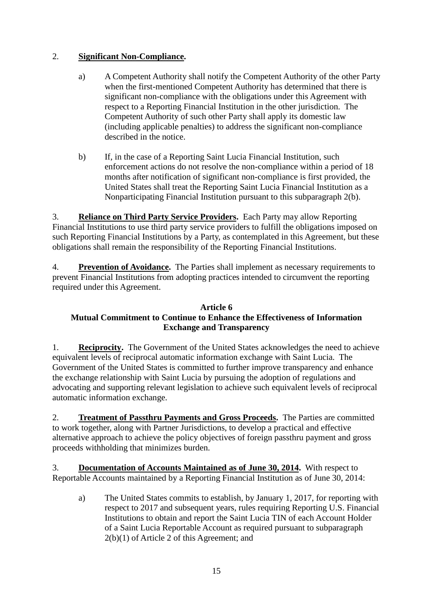# 2. **Significant Non-Compliance.**

- a) A Competent Authority shall notify the Competent Authority of the other Party when the first-mentioned Competent Authority has determined that there is significant non-compliance with the obligations under this Agreement with respect to a Reporting Financial Institution in the other jurisdiction. The Competent Authority of such other Party shall apply its domestic law (including applicable penalties) to address the significant non-compliance described in the notice.
- b) If, in the case of a Reporting Saint Lucia Financial Institution, such enforcement actions do not resolve the non-compliance within a period of 18 months after notification of significant non-compliance is first provided, the United States shall treat the Reporting Saint Lucia Financial Institution as a Nonparticipating Financial Institution pursuant to this subparagraph 2(b).

3. **Reliance on Third Party Service Providers.** Each Party may allow Reporting Financial Institutions to use third party service providers to fulfill the obligations imposed on such Reporting Financial Institutions by a Party, as contemplated in this Agreement, but these obligations shall remain the responsibility of the Reporting Financial Institutions.

4. **Prevention of Avoidance.** The Parties shall implement as necessary requirements to prevent Financial Institutions from adopting practices intended to circumvent the reporting required under this Agreement.

# **Article 6**

# **Mutual Commitment to Continue to Enhance the Effectiveness of Information Exchange and Transparency**

1. **Reciprocity.** The Government of the United States acknowledges the need to achieve equivalent levels of reciprocal automatic information exchange with Saint Lucia. The Government of the United States is committed to further improve transparency and enhance the exchange relationship with Saint Lucia by pursuing the adoption of regulations and advocating and supporting relevant legislation to achieve such equivalent levels of reciprocal automatic information exchange.

2. **Treatment of Passthru Payments and Gross Proceeds.** The Parties are committed to work together, along with Partner Jurisdictions, to develop a practical and effective alternative approach to achieve the policy objectives of foreign passthru payment and gross proceeds withholding that minimizes burden.

3. **Documentation of Accounts Maintained as of June 30, 2014.** With respect to Reportable Accounts maintained by a Reporting Financial Institution as of June 30, 2014:

a) The United States commits to establish, by January 1, 2017, for reporting with respect to 2017 and subsequent years, rules requiring Reporting U.S. Financial Institutions to obtain and report the Saint Lucia TIN of each Account Holder of a Saint Lucia Reportable Account as required pursuant to subparagraph 2(b)(1) of Article 2 of this Agreement; and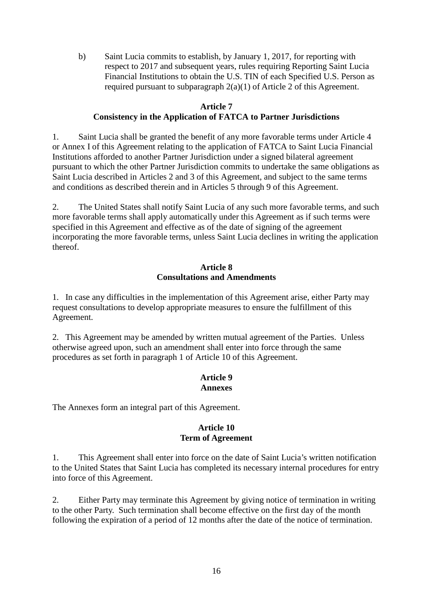b) Saint Lucia commits to establish, by January 1, 2017, for reporting with respect to 2017 and subsequent years, rules requiring Reporting Saint Lucia Financial Institutions to obtain the U.S. TIN of each Specified U.S. Person as required pursuant to subparagraph 2(a)(1) of Article 2 of this Agreement.

#### **Article 7**

# **Consistency in the Application of FATCA to Partner Jurisdictions**

1. Saint Lucia shall be granted the benefit of any more favorable terms under Article 4 or Annex I of this Agreement relating to the application of FATCA to Saint Lucia Financial Institutions afforded to another Partner Jurisdiction under a signed bilateral agreement pursuant to which the other Partner Jurisdiction commits to undertake the same obligations as Saint Lucia described in Articles 2 and 3 of this Agreement, and subject to the same terms and conditions as described therein and in Articles 5 through 9 of this Agreement.

2. The United States shall notify Saint Lucia of any such more favorable terms, and such more favorable terms shall apply automatically under this Agreement as if such terms were specified in this Agreement and effective as of the date of signing of the agreement incorporating the more favorable terms, unless Saint Lucia declines in writing the application thereof.

#### **Article 8 Consultations and Amendments**

1. In case any difficulties in the implementation of this Agreement arise, either Party may request consultations to develop appropriate measures to ensure the fulfillment of this Agreement.

2. This Agreement may be amended by written mutual agreement of the Parties. Unless otherwise agreed upon, such an amendment shall enter into force through the same procedures as set forth in paragraph 1 of Article 10 of this Agreement.

#### **Article 9 Annexes**

The Annexes form an integral part of this Agreement.

#### **Article 10 Term of Agreement**

1. This Agreement shall enter into force on the date of Saint Lucia's written notification to the United States that Saint Lucia has completed its necessary internal procedures for entry into force of this Agreement.

2. Either Party may terminate this Agreement by giving notice of termination in writing to the other Party. Such termination shall become effective on the first day of the month following the expiration of a period of 12 months after the date of the notice of termination.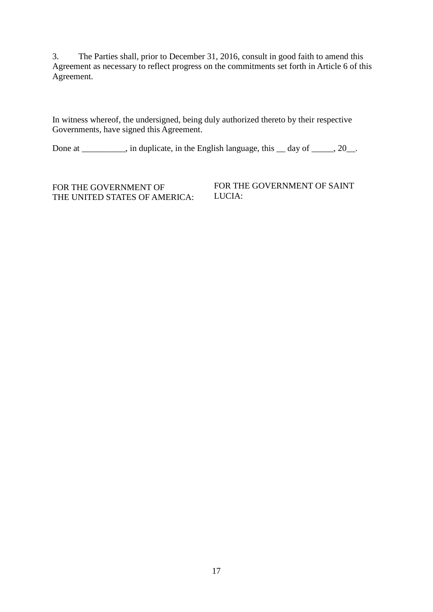3. The Parties shall, prior to December 31, 2016, consult in good faith to amend this Agreement as necessary to reflect progress on the commitments set forth in Article 6 of this Agreement.

In witness whereof, the undersigned, being duly authorized thereto by their respective Governments, have signed this Agreement.

Done at \_\_\_\_\_\_\_, in duplicate, in the English language, this \_\_ day of \_\_\_\_, 20\_.

FOR THE GOVERNMENT OF THE UNITED STATES OF AMERICA:

FOR THE GOVERNMENT OF SAINT LUCIA: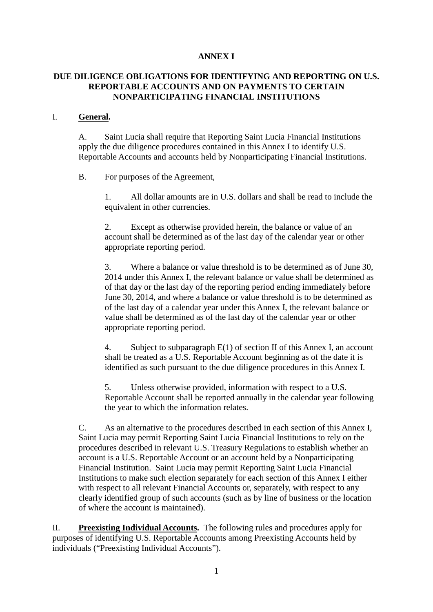## **ANNEX I**

# **DUE DILIGENCE OBLIGATIONS FOR IDENTIFYING AND REPORTING ON U.S. REPORTABLE ACCOUNTS AND ON PAYMENTS TO CERTAIN NONPARTICIPATING FINANCIAL INSTITUTIONS**

#### I. **General.**

A. Saint Lucia shall require that Reporting Saint Lucia Financial Institutions apply the due diligence procedures contained in this Annex I to identify U.S. Reportable Accounts and accounts held by Nonparticipating Financial Institutions.

#### B. For purposes of the Agreement,

1. All dollar amounts are in U.S. dollars and shall be read to include the equivalent in other currencies.

2. Except as otherwise provided herein, the balance or value of an account shall be determined as of the last day of the calendar year or other appropriate reporting period.

3. Where a balance or value threshold is to be determined as of June 30, 2014 under this Annex I, the relevant balance or value shall be determined as of that day or the last day of the reporting period ending immediately before June 30, 2014, and where a balance or value threshold is to be determined as of the last day of a calendar year under this Annex I, the relevant balance or value shall be determined as of the last day of the calendar year or other appropriate reporting period.

4. Subject to subparagraph E(1) of section II of this Annex I, an account shall be treated as a U.S. Reportable Account beginning as of the date it is identified as such pursuant to the due diligence procedures in this Annex I.

5. Unless otherwise provided, information with respect to a U.S. Reportable Account shall be reported annually in the calendar year following the year to which the information relates.

C. As an alternative to the procedures described in each section of this Annex I, Saint Lucia may permit Reporting Saint Lucia Financial Institutions to rely on the procedures described in relevant U.S. Treasury Regulations to establish whether an account is a U.S. Reportable Account or an account held by a Nonparticipating Financial Institution. Saint Lucia may permit Reporting Saint Lucia Financial Institutions to make such election separately for each section of this Annex I either with respect to all relevant Financial Accounts or, separately, with respect to any clearly identified group of such accounts (such as by line of business or the location of where the account is maintained).

II. **Preexisting Individual Accounts.** The following rules and procedures apply for purposes of identifying U.S. Reportable Accounts among Preexisting Accounts held by individuals ("Preexisting Individual Accounts").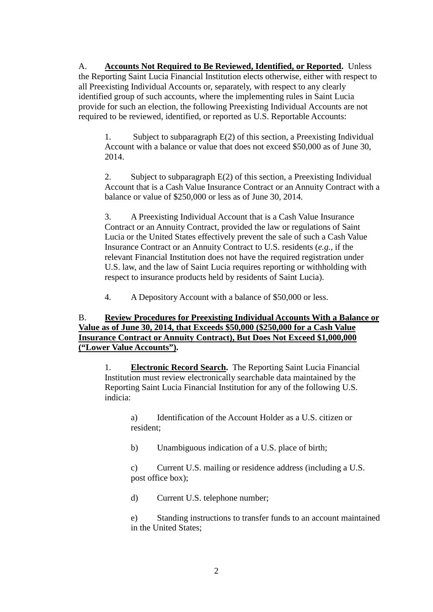A. **Accounts Not Required to Be Reviewed, Identified, or Reported.** Unless the Reporting Saint Lucia Financial Institution elects otherwise, either with respect to all Preexisting Individual Accounts or, separately, with respect to any clearly identified group of such accounts, where the implementing rules in Saint Lucia provide for such an election, the following Preexisting Individual Accounts are not required to be reviewed, identified, or reported as U.S. Reportable Accounts:

1. Subject to subparagraph E(2) of this section, a Preexisting Individual Account with a balance or value that does not exceed \$50,000 as of June 30, 2014.

2. Subject to subparagraph E(2) of this section, a Preexisting Individual Account that is a Cash Value Insurance Contract or an Annuity Contract with a balance or value of \$250,000 or less as of June 30, 2014.

3. A Preexisting Individual Account that is a Cash Value Insurance Contract or an Annuity Contract, provided the law or regulations of Saint Lucia or the United States effectively prevent the sale of such a Cash Value Insurance Contract or an Annuity Contract to U.S. residents (*e.g.*, if the relevant Financial Institution does not have the required registration under U.S. law, and the law of Saint Lucia requires reporting or withholding with respect to insurance products held by residents of Saint Lucia).

4. A Depository Account with a balance of \$50,000 or less.

# B. **Review Procedures for Preexisting Individual Accounts With a Balance or Value as of June 30, 2014, that Exceeds \$50,000 (\$250,000 for a Cash Value Insurance Contract or Annuity Contract), But Does Not Exceed \$1,000,000 ("Lower Value Accounts").**

1. **Electronic Record Search.** The Reporting Saint Lucia Financial Institution must review electronically searchable data maintained by the Reporting Saint Lucia Financial Institution for any of the following U.S. indicia:

> a) Identification of the Account Holder as a U.S. citizen or resident;

b) Unambiguous indication of a U.S. place of birth;

c) Current U.S. mailing or residence address (including a U.S. post office box);

d) Current U.S. telephone number;

e) Standing instructions to transfer funds to an account maintained in the United States;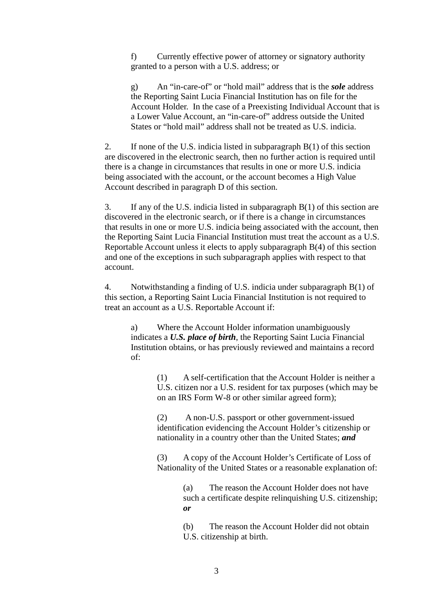f) Currently effective power of attorney or signatory authority granted to a person with a U.S. address; or

g) An "in-care-of" or "hold mail" address that is the *sole* address the Reporting Saint Lucia Financial Institution has on file for the Account Holder. In the case of a Preexisting Individual Account that is a Lower Value Account, an "in-care-of" address outside the United States or "hold mail" address shall not be treated as U.S. indicia.

2. If none of the U.S. indicia listed in subparagraph B(1) of this section are discovered in the electronic search, then no further action is required until there is a change in circumstances that results in one or more U.S. indicia being associated with the account, or the account becomes a High Value Account described in paragraph D of this section.

3. If any of the U.S. indicia listed in subparagraph B(1) of this section are discovered in the electronic search, or if there is a change in circumstances that results in one or more U.S. indicia being associated with the account, then the Reporting Saint Lucia Financial Institution must treat the account as a U.S. Reportable Account unless it elects to apply subparagraph B(4) of this section and one of the exceptions in such subparagraph applies with respect to that account.

4. Notwithstanding a finding of U.S. indicia under subparagraph B(1) of this section, a Reporting Saint Lucia Financial Institution is not required to treat an account as a U.S. Reportable Account if:

a) Where the Account Holder information unambiguously indicates a *U.S. place of birth*, the Reporting Saint Lucia Financial Institution obtains, or has previously reviewed and maintains a record of:

> (1) A self-certification that the Account Holder is neither a U.S. citizen nor a U.S. resident for tax purposes (which may be on an IRS Form W-8 or other similar agreed form);

(2) A non-U.S. passport or other government-issued identification evidencing the Account Holder's citizenship or nationality in a country other than the United States; *and*

(3) A copy of the Account Holder's Certificate of Loss of Nationality of the United States or a reasonable explanation of:

> (a) The reason the Account Holder does not have such a certificate despite relinquishing U.S. citizenship; *or*

(b) The reason the Account Holder did not obtain U.S. citizenship at birth.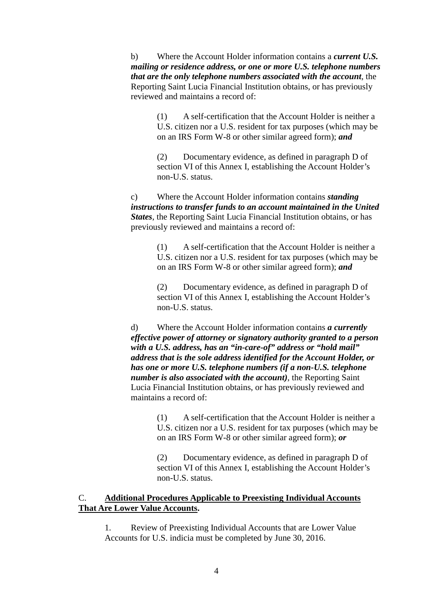b) Where the Account Holder information contains a *current U.S. mailing or residence address, or one or more U.S. telephone numbers that are the only telephone numbers associated with the account*, the Reporting Saint Lucia Financial Institution obtains, or has previously reviewed and maintains a record of:

> (1) A self-certification that the Account Holder is neither a U.S. citizen nor a U.S. resident for tax purposes (which may be on an IRS Form W-8 or other similar agreed form); *and*

(2) Documentary evidence, as defined in paragraph D of section VI of this Annex I, establishing the Account Holder's non-U.S. status.

c) Where the Account Holder information contains *standing instructions to transfer funds to an account maintained in the United States*, the Reporting Saint Lucia Financial Institution obtains, or has previously reviewed and maintains a record of:

> (1) A self-certification that the Account Holder is neither a U.S. citizen nor a U.S. resident for tax purposes (which may be on an IRS Form W-8 or other similar agreed form); *and*

(2) Documentary evidence, as defined in paragraph D of section VI of this Annex I, establishing the Account Holder's non-U.S. status.

d) Where the Account Holder information contains *a currently effective power of attorney or signatory authority granted to a person with a U.S. address, has an "in-care-of" address or "hold mail" address that is the sole address identified for the Account Holder, or has one or more U.S. telephone numbers (if a non-U.S. telephone number is also associated with the account)*, the Reporting Saint Lucia Financial Institution obtains, or has previously reviewed and maintains a record of:

> (1) A self-certification that the Account Holder is neither a U.S. citizen nor a U.S. resident for tax purposes (which may be on an IRS Form W-8 or other similar agreed form); *or*

(2) Documentary evidence, as defined in paragraph D of section VI of this Annex I, establishing the Account Holder's non-U.S. status.

#### C. **Additional Procedures Applicable to Preexisting Individual Accounts That Are Lower Value Accounts.**

1. Review of Preexisting Individual Accounts that are Lower Value Accounts for U.S. indicia must be completed by June 30, 2016.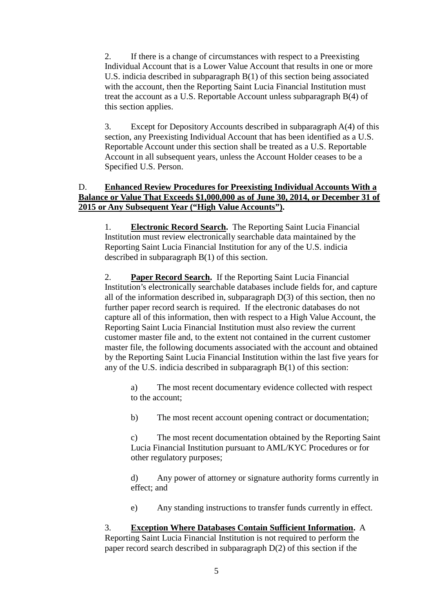2. If there is a change of circumstances with respect to a Preexisting Individual Account that is a Lower Value Account that results in one or more U.S. indicia described in subparagraph B(1) of this section being associated with the account, then the Reporting Saint Lucia Financial Institution must treat the account as a U.S. Reportable Account unless subparagraph B(4) of this section applies.

3. Except for Depository Accounts described in subparagraph A(4) of this section, any Preexisting Individual Account that has been identified as a U.S. Reportable Account under this section shall be treated as a U.S. Reportable Account in all subsequent years, unless the Account Holder ceases to be a Specified U.S. Person.

# D. **Enhanced Review Procedures for Preexisting Individual Accounts With a Balance or Value That Exceeds \$1,000,000 as of June 30, 2014, or December 31 of 2015 or Any Subsequent Year ("High Value Accounts").**

1. **Electronic Record Search.** The Reporting Saint Lucia Financial Institution must review electronically searchable data maintained by the Reporting Saint Lucia Financial Institution for any of the U.S. indicia described in subparagraph B(1) of this section.

2. **Paper Record Search.** If the Reporting Saint Lucia Financial Institution's electronically searchable databases include fields for, and capture all of the information described in, subparagraph D(3) of this section, then no further paper record search is required. If the electronic databases do not capture all of this information, then with respect to a High Value Account, the Reporting Saint Lucia Financial Institution must also review the current customer master file and, to the extent not contained in the current customer master file, the following documents associated with the account and obtained by the Reporting Saint Lucia Financial Institution within the last five years for any of the U.S. indicia described in subparagraph B(1) of this section:

a) The most recent documentary evidence collected with respect to the account;

b) The most recent account opening contract or documentation;

c) The most recent documentation obtained by the Reporting Saint Lucia Financial Institution pursuant to AML/KYC Procedures or for other regulatory purposes;

d) Any power of attorney or signature authority forms currently in effect; and

e) Any standing instructions to transfer funds currently in effect.

# 3. **Exception Where Databases Contain Sufficient Information.** A

Reporting Saint Lucia Financial Institution is not required to perform the paper record search described in subparagraph D(2) of this section if the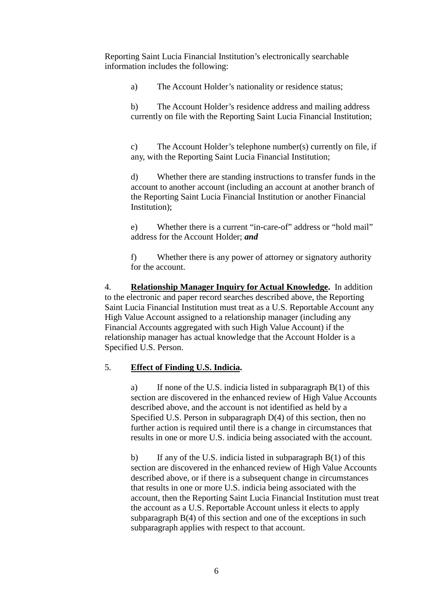Reporting Saint Lucia Financial Institution's electronically searchable information includes the following:

a) The Account Holder's nationality or residence status;

b) The Account Holder's residence address and mailing address currently on file with the Reporting Saint Lucia Financial Institution;

c) The Account Holder's telephone number(s) currently on file, if any, with the Reporting Saint Lucia Financial Institution;

d) Whether there are standing instructions to transfer funds in the account to another account (including an account at another branch of the Reporting Saint Lucia Financial Institution or another Financial Institution);

e) Whether there is a current "in-care-of" address or "hold mail" address for the Account Holder; *and*

f) Whether there is any power of attorney or signatory authority for the account.

4. **Relationship Manager Inquiry for Actual Knowledge.** In addition to the electronic and paper record searches described above, the Reporting Saint Lucia Financial Institution must treat as a U.S. Reportable Account any High Value Account assigned to a relationship manager (including any Financial Accounts aggregated with such High Value Account) if the relationship manager has actual knowledge that the Account Holder is a Specified U.S. Person.

# 5. **Effect of Finding U.S. Indicia.**

a) If none of the U.S. indicia listed in subparagraph B(1) of this section are discovered in the enhanced review of High Value Accounts described above, and the account is not identified as held by a Specified U.S. Person in subparagraph D(4) of this section, then no further action is required until there is a change in circumstances that results in one or more U.S. indicia being associated with the account.

b) If any of the U.S. indicia listed in subparagraph B(1) of this section are discovered in the enhanced review of High Value Accounts described above, or if there is a subsequent change in circumstances that results in one or more U.S. indicia being associated with the account, then the Reporting Saint Lucia Financial Institution must treat the account as a U.S. Reportable Account unless it elects to apply subparagraph B(4) of this section and one of the exceptions in such subparagraph applies with respect to that account.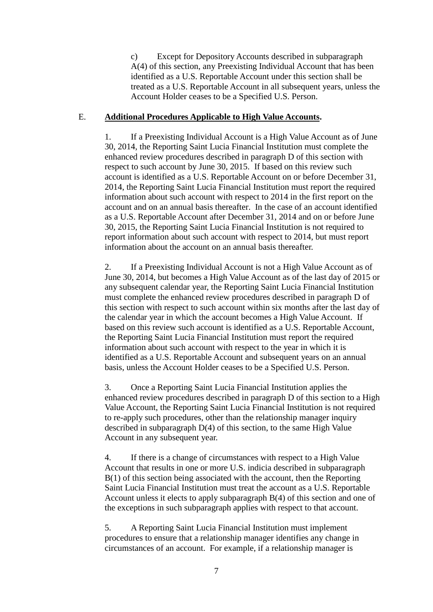c) Except for Depository Accounts described in subparagraph A(4) of this section, any Preexisting Individual Account that has been identified as a U.S. Reportable Account under this section shall be treated as a U.S. Reportable Account in all subsequent years, unless the Account Holder ceases to be a Specified U.S. Person.

#### E. **Additional Procedures Applicable to High Value Accounts.**

1. If a Preexisting Individual Account is a High Value Account as of June 30, 2014, the Reporting Saint Lucia Financial Institution must complete the enhanced review procedures described in paragraph D of this section with respect to such account by June 30, 2015. If based on this review such account is identified as a U.S. Reportable Account on or before December 31, 2014, the Reporting Saint Lucia Financial Institution must report the required information about such account with respect to 2014 in the first report on the account and on an annual basis thereafter. In the case of an account identified as a U.S. Reportable Account after December 31, 2014 and on or before June 30, 2015, the Reporting Saint Lucia Financial Institution is not required to report information about such account with respect to 2014, but must report information about the account on an annual basis thereafter.

2. If a Preexisting Individual Account is not a High Value Account as of June 30, 2014, but becomes a High Value Account as of the last day of 2015 or any subsequent calendar year, the Reporting Saint Lucia Financial Institution must complete the enhanced review procedures described in paragraph D of this section with respect to such account within six months after the last day of the calendar year in which the account becomes a High Value Account. If based on this review such account is identified as a U.S. Reportable Account, the Reporting Saint Lucia Financial Institution must report the required information about such account with respect to the year in which it is identified as a U.S. Reportable Account and subsequent years on an annual basis, unless the Account Holder ceases to be a Specified U.S. Person.

3. Once a Reporting Saint Lucia Financial Institution applies the enhanced review procedures described in paragraph D of this section to a High Value Account, the Reporting Saint Lucia Financial Institution is not required to re-apply such procedures, other than the relationship manager inquiry described in subparagraph D(4) of this section, to the same High Value Account in any subsequent year.

4. If there is a change of circumstances with respect to a High Value Account that results in one or more U.S. indicia described in subparagraph B(1) of this section being associated with the account, then the Reporting Saint Lucia Financial Institution must treat the account as a U.S. Reportable Account unless it elects to apply subparagraph B(4) of this section and one of the exceptions in such subparagraph applies with respect to that account.

5. A Reporting Saint Lucia Financial Institution must implement procedures to ensure that a relationship manager identifies any change in circumstances of an account. For example, if a relationship manager is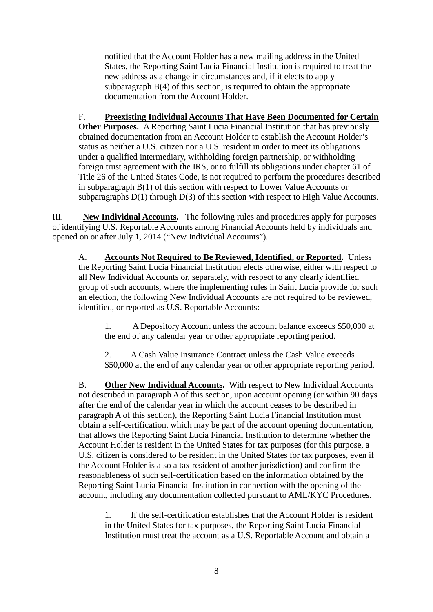notified that the Account Holder has a new mailing address in the United States, the Reporting Saint Lucia Financial Institution is required to treat the new address as a change in circumstances and, if it elects to apply subparagraph B(4) of this section, is required to obtain the appropriate documentation from the Account Holder.

# F. **Preexisting Individual Accounts That Have Been Documented for Certain**

**Other Purposes.** A Reporting Saint Lucia Financial Institution that has previously obtained documentation from an Account Holder to establish the Account Holder's status as neither a U.S. citizen nor a U.S. resident in order to meet its obligations under a qualified intermediary, withholding foreign partnership, or withholding foreign trust agreement with the IRS, or to fulfill its obligations under chapter 61 of Title 26 of the United States Code, is not required to perform the procedures described in subparagraph B(1) of this section with respect to Lower Value Accounts or subparagraphs D(1) through D(3) of this section with respect to High Value Accounts.

III. **New Individual Accounts.** The following rules and procedures apply for purposes of identifying U.S. Reportable Accounts among Financial Accounts held by individuals and opened on or after July 1, 2014 ("New Individual Accounts").

A. **Accounts Not Required to Be Reviewed, Identified, or Reported.** Unless the Reporting Saint Lucia Financial Institution elects otherwise, either with respect to all New Individual Accounts or, separately, with respect to any clearly identified group of such accounts, where the implementing rules in Saint Lucia provide for such an election, the following New Individual Accounts are not required to be reviewed, identified, or reported as U.S. Reportable Accounts:

1. A Depository Account unless the account balance exceeds \$50,000 at the end of any calendar year or other appropriate reporting period.

2. A Cash Value Insurance Contract unless the Cash Value exceeds \$50,000 at the end of any calendar year or other appropriate reporting period.

B. **Other New Individual Accounts.** With respect to New Individual Accounts not described in paragraph A of this section, upon account opening (or within 90 days after the end of the calendar year in which the account ceases to be described in paragraph A of this section), the Reporting Saint Lucia Financial Institution must obtain a self-certification, which may be part of the account opening documentation, that allows the Reporting Saint Lucia Financial Institution to determine whether the Account Holder is resident in the United States for tax purposes (for this purpose, a U.S. citizen is considered to be resident in the United States for tax purposes, even if the Account Holder is also a tax resident of another jurisdiction) and confirm the reasonableness of such self-certification based on the information obtained by the Reporting Saint Lucia Financial Institution in connection with the opening of the account, including any documentation collected pursuant to AML/KYC Procedures.

1. If the self-certification establishes that the Account Holder is resident in the United States for tax purposes, the Reporting Saint Lucia Financial Institution must treat the account as a U.S. Reportable Account and obtain a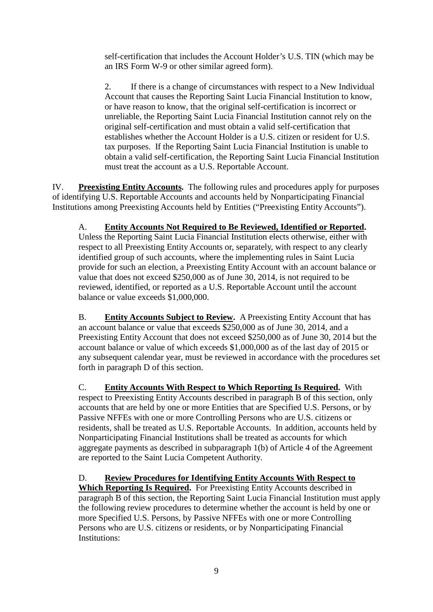self-certification that includes the Account Holder's U.S. TIN (which may be an IRS Form W-9 or other similar agreed form).

2. If there is a change of circumstances with respect to a New Individual Account that causes the Reporting Saint Lucia Financial Institution to know, or have reason to know, that the original self-certification is incorrect or unreliable, the Reporting Saint Lucia Financial Institution cannot rely on the original self-certification and must obtain a valid self-certification that establishes whether the Account Holder is a U.S. citizen or resident for U.S. tax purposes. If the Reporting Saint Lucia Financial Institution is unable to obtain a valid self-certification, the Reporting Saint Lucia Financial Institution must treat the account as a U.S. Reportable Account.

IV. **Preexisting Entity Accounts.** The following rules and procedures apply for purposes of identifying U.S. Reportable Accounts and accounts held by Nonparticipating Financial Institutions among Preexisting Accounts held by Entities ("Preexisting Entity Accounts").

# A. **Entity Accounts Not Required to Be Reviewed, Identified or Reported.**

Unless the Reporting Saint Lucia Financial Institution elects otherwise, either with respect to all Preexisting Entity Accounts or, separately, with respect to any clearly identified group of such accounts, where the implementing rules in Saint Lucia provide for such an election, a Preexisting Entity Account with an account balance or value that does not exceed \$250,000 as of June 30, 2014, is not required to be reviewed, identified, or reported as a U.S. Reportable Account until the account balance or value exceeds \$1,000,000.

B. **Entity Accounts Subject to Review.** A Preexisting Entity Account that has an account balance or value that exceeds \$250,000 as of June 30, 2014, and a Preexisting Entity Account that does not exceed \$250,000 as of June 30, 2014 but the account balance or value of which exceeds \$1,000,000 as of the last day of 2015 or any subsequent calendar year, must be reviewed in accordance with the procedures set forth in paragraph D of this section.

C. **Entity Accounts With Respect to Which Reporting Is Required.** With respect to Preexisting Entity Accounts described in paragraph B of this section, only accounts that are held by one or more Entities that are Specified U.S. Persons, or by Passive NFFEs with one or more Controlling Persons who are U.S. citizens or residents, shall be treated as U.S. Reportable Accounts. In addition, accounts held by Nonparticipating Financial Institutions shall be treated as accounts for which aggregate payments as described in subparagraph 1(b) of Article 4 of the Agreement are reported to the Saint Lucia Competent Authority.

D. **Review Procedures for Identifying Entity Accounts With Respect to** 

**Which Reporting Is Required.** For Preexisting Entity Accounts described in paragraph B of this section, the Reporting Saint Lucia Financial Institution must apply the following review procedures to determine whether the account is held by one or more Specified U.S. Persons, by Passive NFFEs with one or more Controlling Persons who are U.S. citizens or residents, or by Nonparticipating Financial Institutions: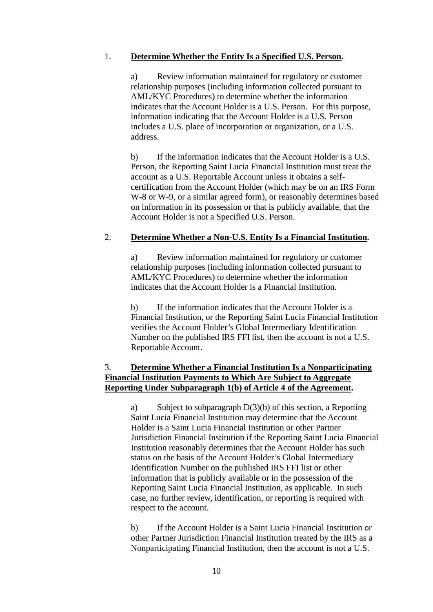#### 1. **Determine Whether the Entity Is a Specified U.S. Person.**

a) Review information maintained for regulatory or customer relationship purposes (including information collected pursuant to AML/KYC Procedures) to determine whether the information indicates that the Account Holder is a U.S. Person. For this purpose, information indicating that the Account Holder is a U.S. Person includes a U.S. place of incorporation or organization, or a U.S. address.

b) If the information indicates that the Account Holder is a U.S. Person, the Reporting Saint Lucia Financial Institution must treat the account as a U.S. Reportable Account unless it obtains a selfcertification from the Account Holder (which may be on an IRS Form W-8 or W-9, or a similar agreed form), or reasonably determines based on information in its possession or that is publicly available, that the Account Holder is not a Specified U.S. Person.

#### 2. **Determine Whether a Non-U.S. Entity Is a Financial Institution.**

a) Review information maintained for regulatory or customer relationship purposes (including information collected pursuant to AML/KYC Procedures) to determine whether the information indicates that the Account Holder is a Financial Institution.

b) If the information indicates that the Account Holder is a Financial Institution, or the Reporting Saint Lucia Financial Institution verifies the Account Holder's Global Intermediary Identification Number on the published IRS FFI list, then the account is not a U.S. Reportable Account.

# 3. **Determine Whether a Financial Institution Is a Nonparticipating Financial Institution Payments to Which Are Subject to Aggregate Reporting Under Subparagraph 1(b) of Article 4 of the Agreement.**

a) Subject to subparagraph D(3)(b) of this section, a Reporting Saint Lucia Financial Institution may determine that the Account Holder is a Saint Lucia Financial Institution or other Partner Jurisdiction Financial Institution if the Reporting Saint Lucia Financial Institution reasonably determines that the Account Holder has such status on the basis of the Account Holder's Global Intermediary Identification Number on the published IRS FFI list or other information that is publicly available or in the possession of the Reporting Saint Lucia Financial Institution, as applicable. In such case, no further review, identification, or reporting is required with respect to the account.

b) If the Account Holder is a Saint Lucia Financial Institution or other Partner Jurisdiction Financial Institution treated by the IRS as a Nonparticipating Financial Institution, then the account is not a U.S.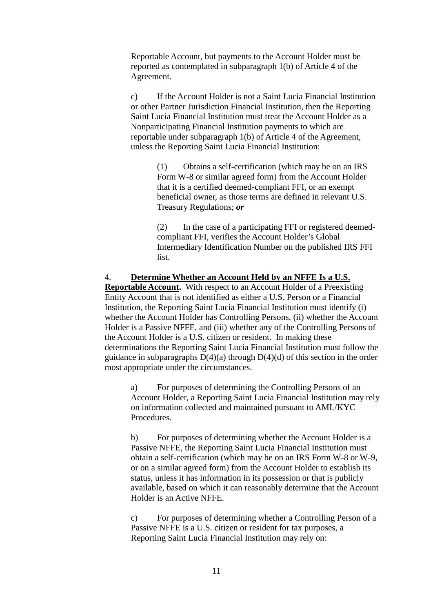Reportable Account, but payments to the Account Holder must be reported as contemplated in subparagraph 1(b) of Article 4 of the Agreement.

c) If the Account Holder is not a Saint Lucia Financial Institution or other Partner Jurisdiction Financial Institution, then the Reporting Saint Lucia Financial Institution must treat the Account Holder as a Nonparticipating Financial Institution payments to which are reportable under subparagraph 1(b) of Article 4 of the Agreement, unless the Reporting Saint Lucia Financial Institution:

> (1) Obtains a self-certification (which may be on an IRS Form W-8 or similar agreed form) from the Account Holder that it is a certified deemed-compliant FFI, or an exempt beneficial owner, as those terms are defined in relevant U.S. Treasury Regulations; *or*

(2) In the case of a participating FFI or registered deemedcompliant FFI, verifies the Account Holder's Global Intermediary Identification Number on the published IRS FFI list.

4. **Determine Whether an Account Held by an NFFE Is a U.S. Reportable Account.** With respect to an Account Holder of a Preexisting Entity Account that is not identified as either a U.S. Person or a Financial Institution, the Reporting Saint Lucia Financial Institution must identify (i) whether the Account Holder has Controlling Persons, (ii) whether the Account Holder is a Passive NFFE, and (iii) whether any of the Controlling Persons of the Account Holder is a U.S. citizen or resident. In making these determinations the Reporting Saint Lucia Financial Institution must follow the guidance in subparagraphs  $D(4)(a)$  through  $D(4)(d)$  of this section in the order most appropriate under the circumstances.

a) For purposes of determining the Controlling Persons of an Account Holder, a Reporting Saint Lucia Financial Institution may rely on information collected and maintained pursuant to AML/KYC Procedures.

b) For purposes of determining whether the Account Holder is a Passive NFFE, the Reporting Saint Lucia Financial Institution must obtain a self-certification (which may be on an IRS Form W-8 or W-9, or on a similar agreed form) from the Account Holder to establish its status, unless it has information in its possession or that is publicly available, based on which it can reasonably determine that the Account Holder is an Active NFFE.

c) For purposes of determining whether a Controlling Person of a Passive NFFE is a U.S. citizen or resident for tax purposes, a Reporting Saint Lucia Financial Institution may rely on: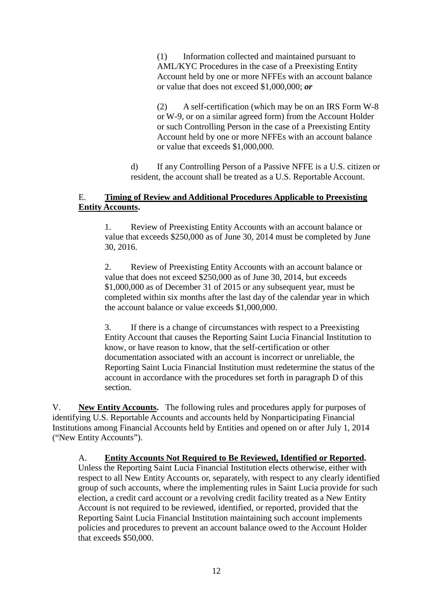(1) Information collected and maintained pursuant to AML/KYC Procedures in the case of a Preexisting Entity Account held by one or more NFFEs with an account balance or value that does not exceed \$1,000,000; *or*

(2) A self-certification (which may be on an IRS Form W-8 or W-9, or on a similar agreed form) from the Account Holder or such Controlling Person in the case of a Preexisting Entity Account held by one or more NFFEs with an account balance or value that exceeds \$1,000,000.

d) If any Controlling Person of a Passive NFFE is a U.S. citizen or resident, the account shall be treated as a U.S. Reportable Account.

## E. **Timing of Review and Additional Procedures Applicable to Preexisting Entity Accounts.**

1. Review of Preexisting Entity Accounts with an account balance or value that exceeds \$250,000 as of June 30, 2014 must be completed by June 30, 2016.

2. Review of Preexisting Entity Accounts with an account balance or value that does not exceed \$250,000 as of June 30, 2014, but exceeds \$1,000,000 as of December 31 of 2015 or any subsequent year, must be completed within six months after the last day of the calendar year in which the account balance or value exceeds \$1,000,000.

3. If there is a change of circumstances with respect to a Preexisting Entity Account that causes the Reporting Saint Lucia Financial Institution to know, or have reason to know, that the self-certification or other documentation associated with an account is incorrect or unreliable, the Reporting Saint Lucia Financial Institution must redetermine the status of the account in accordance with the procedures set forth in paragraph D of this section.

V. **New Entity Accounts.** The following rules and procedures apply for purposes of identifying U.S. Reportable Accounts and accounts held by Nonparticipating Financial Institutions among Financial Accounts held by Entities and opened on or after July 1, 2014 ("New Entity Accounts").

# A. **Entity Accounts Not Required to Be Reviewed, Identified or Reported.**

Unless the Reporting Saint Lucia Financial Institution elects otherwise, either with respect to all New Entity Accounts or, separately, with respect to any clearly identified group of such accounts, where the implementing rules in Saint Lucia provide for such election, a credit card account or a revolving credit facility treated as a New Entity Account is not required to be reviewed, identified, or reported, provided that the Reporting Saint Lucia Financial Institution maintaining such account implements policies and procedures to prevent an account balance owed to the Account Holder that exceeds \$50,000.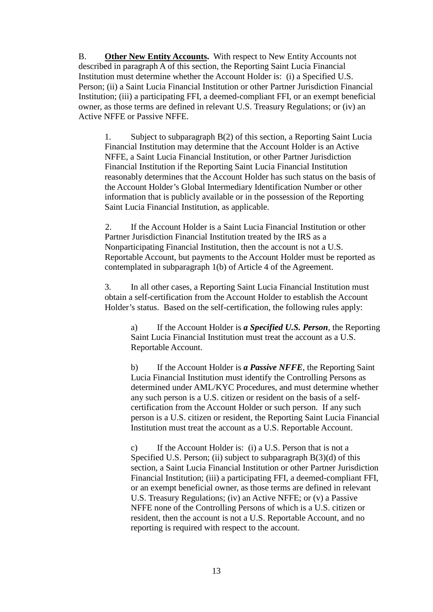B. **Other New Entity Accounts.** With respect to New Entity Accounts not described in paragraph A of this section, the Reporting Saint Lucia Financial Institution must determine whether the Account Holder is: (i) a Specified U.S. Person; (ii) a Saint Lucia Financial Institution or other Partner Jurisdiction Financial Institution; (iii) a participating FFI, a deemed-compliant FFI, or an exempt beneficial owner, as those terms are defined in relevant U.S. Treasury Regulations; or (iv) an Active NFFE or Passive NFFE.

1. Subject to subparagraph B(2) of this section, a Reporting Saint Lucia Financial Institution may determine that the Account Holder is an Active NFFE, a Saint Lucia Financial Institution, or other Partner Jurisdiction Financial Institution if the Reporting Saint Lucia Financial Institution reasonably determines that the Account Holder has such status on the basis of the Account Holder's Global Intermediary Identification Number or other information that is publicly available or in the possession of the Reporting Saint Lucia Financial Institution, as applicable.

2. If the Account Holder is a Saint Lucia Financial Institution or other Partner Jurisdiction Financial Institution treated by the IRS as a Nonparticipating Financial Institution, then the account is not a U.S. Reportable Account, but payments to the Account Holder must be reported as contemplated in subparagraph 1(b) of Article 4 of the Agreement.

3. In all other cases, a Reporting Saint Lucia Financial Institution must obtain a self-certification from the Account Holder to establish the Account Holder's status. Based on the self-certification, the following rules apply:

a) If the Account Holder is *a Specified U.S. Person*, the Reporting Saint Lucia Financial Institution must treat the account as a U.S. Reportable Account.

b) If the Account Holder is *a Passive NFFE*, the Reporting Saint Lucia Financial Institution must identify the Controlling Persons as determined under AML/KYC Procedures, and must determine whether any such person is a U.S. citizen or resident on the basis of a selfcertification from the Account Holder or such person. If any such person is a U.S. citizen or resident, the Reporting Saint Lucia Financial Institution must treat the account as a U.S. Reportable Account.

c) If the Account Holder is: (i) a U.S. Person that is not a Specified U.S. Person; (ii) subject to subparagraph  $B(3)(d)$  of this section, a Saint Lucia Financial Institution or other Partner Jurisdiction Financial Institution; (iii) a participating FFI, a deemed-compliant FFI, or an exempt beneficial owner, as those terms are defined in relevant U.S. Treasury Regulations; (iv) an Active NFFE; or (v) a Passive NFFE none of the Controlling Persons of which is a U.S. citizen or resident, then the account is not a U.S. Reportable Account, and no reporting is required with respect to the account.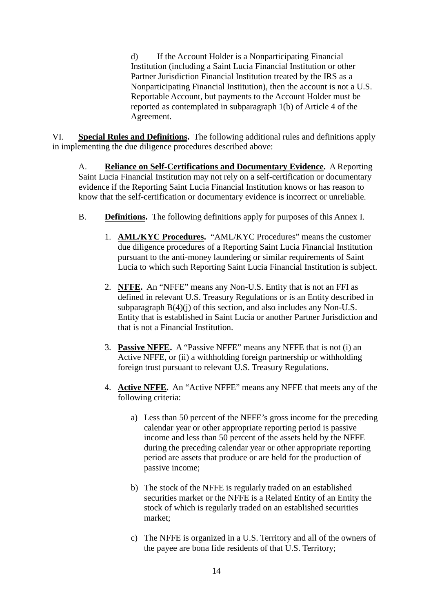d) If the Account Holder is a Nonparticipating Financial Institution (including a Saint Lucia Financial Institution or other Partner Jurisdiction Financial Institution treated by the IRS as a Nonparticipating Financial Institution), then the account is not a U.S. Reportable Account, but payments to the Account Holder must be reported as contemplated in subparagraph 1(b) of Article 4 of the Agreement.

VI. **Special Rules and Definitions.** The following additional rules and definitions apply in implementing the due diligence procedures described above:

A. **Reliance on Self-Certifications and Documentary Evidence.** A Reporting Saint Lucia Financial Institution may not rely on a self-certification or documentary evidence if the Reporting Saint Lucia Financial Institution knows or has reason to know that the self-certification or documentary evidence is incorrect or unreliable.

- B. **Definitions.** The following definitions apply for purposes of this Annex I.
	- 1. **AML/KYC Procedures.** "AML/KYC Procedures" means the customer due diligence procedures of a Reporting Saint Lucia Financial Institution pursuant to the anti-money laundering or similar requirements of Saint Lucia to which such Reporting Saint Lucia Financial Institution is subject.
	- 2. **NFFE.** An "NFFE" means any Non-U.S. Entity that is not an FFI as defined in relevant U.S. Treasury Regulations or is an Entity described in subparagraph  $B(4)(i)$  of this section, and also includes any Non-U.S. Entity that is established in Saint Lucia or another Partner Jurisdiction and that is not a Financial Institution.
	- 3. **Passive NFFE.** A "Passive NFFE" means any NFFE that is not (i) an Active NFFE, or (ii) a withholding foreign partnership or withholding foreign trust pursuant to relevant U.S. Treasury Regulations.
	- 4. **Active NFFE.** An "Active NFFE" means any NFFE that meets any of the following criteria:
		- a) Less than 50 percent of the NFFE's gross income for the preceding calendar year or other appropriate reporting period is passive income and less than 50 percent of the assets held by the NFFE during the preceding calendar year or other appropriate reporting period are assets that produce or are held for the production of passive income;
		- b) The stock of the NFFE is regularly traded on an established securities market or the NFFE is a Related Entity of an Entity the stock of which is regularly traded on an established securities market;
		- c) The NFFE is organized in a U.S. Territory and all of the owners of the payee are bona fide residents of that U.S. Territory;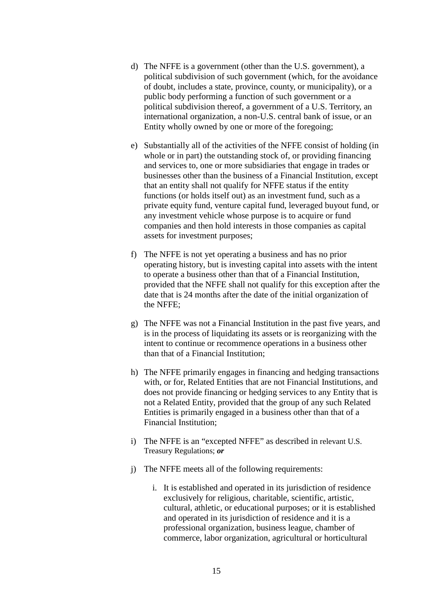- d) The NFFE is a government (other than the U.S. government), a political subdivision of such government (which, for the avoidance of doubt, includes a state, province, county, or municipality), or a public body performing a function of such government or a political subdivision thereof, a government of a U.S. Territory, an international organization, a non-U.S. central bank of issue, or an Entity wholly owned by one or more of the foregoing;
- e) Substantially all of the activities of the NFFE consist of holding (in whole or in part) the outstanding stock of, or providing financing and services to, one or more subsidiaries that engage in trades or businesses other than the business of a Financial Institution, except that an entity shall not qualify for NFFE status if the entity functions (or holds itself out) as an investment fund, such as a private equity fund, venture capital fund, leveraged buyout fund, or any investment vehicle whose purpose is to acquire or fund companies and then hold interests in those companies as capital assets for investment purposes;
- f) The NFFE is not yet operating a business and has no prior operating history, but is investing capital into assets with the intent to operate a business other than that of a Financial Institution, provided that the NFFE shall not qualify for this exception after the date that is 24 months after the date of the initial organization of the NFFE;
- g) The NFFE was not a Financial Institution in the past five years, and is in the process of liquidating its assets or is reorganizing with the intent to continue or recommence operations in a business other than that of a Financial Institution;
- h) The NFFE primarily engages in financing and hedging transactions with, or for, Related Entities that are not Financial Institutions, and does not provide financing or hedging services to any Entity that is not a Related Entity, provided that the group of any such Related Entities is primarily engaged in a business other than that of a Financial Institution;
- i) The NFFE is an "excepted NFFE" as described in relevant U.S. Treasury Regulations; *or*
- j) The NFFE meets all of the following requirements:
	- i. It is established and operated in its jurisdiction of residence exclusively for religious, charitable, scientific, artistic, cultural, athletic, or educational purposes; or it is established and operated in its jurisdiction of residence and it is a professional organization, business league, chamber of commerce, labor organization, agricultural or horticultural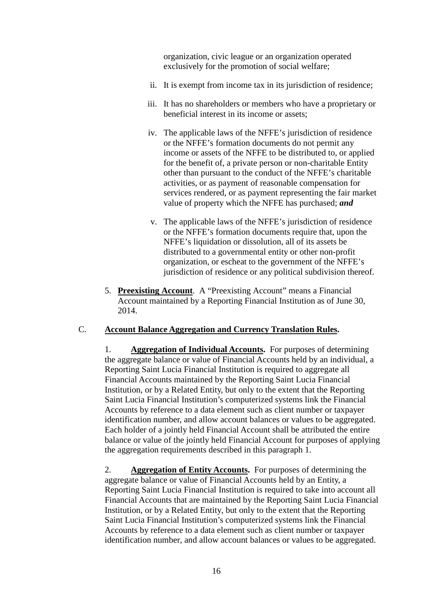organization, civic league or an organization operated exclusively for the promotion of social welfare;

- ii. It is exempt from income tax in its jurisdiction of residence;
- iii. It has no shareholders or members who have a proprietary or beneficial interest in its income or assets;
- iv. The applicable laws of the NFFE's jurisdiction of residence or the NFFE's formation documents do not permit any income or assets of the NFFE to be distributed to, or applied for the benefit of, a private person or non-charitable Entity other than pursuant to the conduct of the NFFE's charitable activities, or as payment of reasonable compensation for services rendered, or as payment representing the fair market value of property which the NFFE has purchased; *and*
- v. The applicable laws of the NFFE's jurisdiction of residence or the NFFE's formation documents require that, upon the NFFE's liquidation or dissolution, all of its assets be distributed to a governmental entity or other non-profit organization, or escheat to the government of the NFFE's jurisdiction of residence or any political subdivision thereof.
- 5. **Preexisting Account**. A "Preexisting Account" means a Financial Account maintained by a Reporting Financial Institution as of June 30, 2014.

# C. **Account Balance Aggregation and Currency Translation Rules.**

1. **Aggregation of Individual Accounts.** For purposes of determining the aggregate balance or value of Financial Accounts held by an individual, a Reporting Saint Lucia Financial Institution is required to aggregate all Financial Accounts maintained by the Reporting Saint Lucia Financial Institution, or by a Related Entity, but only to the extent that the Reporting Saint Lucia Financial Institution's computerized systems link the Financial Accounts by reference to a data element such as client number or taxpayer identification number, and allow account balances or values to be aggregated. Each holder of a jointly held Financial Account shall be attributed the entire balance or value of the jointly held Financial Account for purposes of applying the aggregation requirements described in this paragraph 1.

2. **Aggregation of Entity Accounts.** For purposes of determining the aggregate balance or value of Financial Accounts held by an Entity, a Reporting Saint Lucia Financial Institution is required to take into account all Financial Accounts that are maintained by the Reporting Saint Lucia Financial Institution, or by a Related Entity, but only to the extent that the Reporting Saint Lucia Financial Institution's computerized systems link the Financial Accounts by reference to a data element such as client number or taxpayer identification number, and allow account balances or values to be aggregated.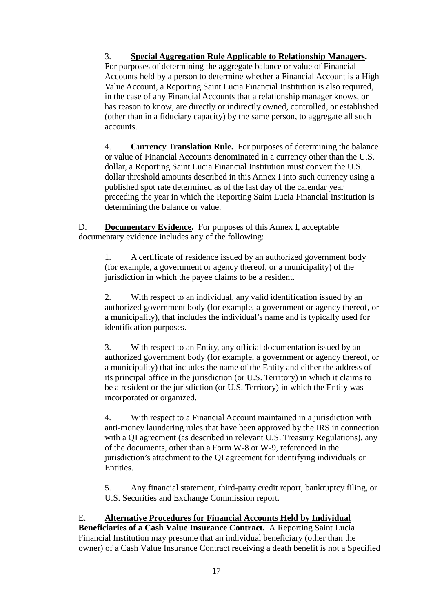# 3. **Special Aggregation Rule Applicable to Relationship Managers.**

For purposes of determining the aggregate balance or value of Financial Accounts held by a person to determine whether a Financial Account is a High Value Account, a Reporting Saint Lucia Financial Institution is also required, in the case of any Financial Accounts that a relationship manager knows, or has reason to know, are directly or indirectly owned, controlled, or established (other than in a fiduciary capacity) by the same person, to aggregate all such accounts.

4. **Currency Translation Rule.** For purposes of determining the balance or value of Financial Accounts denominated in a currency other than the U.S. dollar, a Reporting Saint Lucia Financial Institution must convert the U.S. dollar threshold amounts described in this Annex I into such currency using a published spot rate determined as of the last day of the calendar year preceding the year in which the Reporting Saint Lucia Financial Institution is determining the balance or value.

D. **Documentary Evidence.** For purposes of this Annex I, acceptable documentary evidence includes any of the following:

1. A certificate of residence issued by an authorized government body (for example, a government or agency thereof, or a municipality) of the jurisdiction in which the payee claims to be a resident.

2. With respect to an individual, any valid identification issued by an authorized government body (for example, a government or agency thereof, or a municipality), that includes the individual's name and is typically used for identification purposes.

3. With respect to an Entity, any official documentation issued by an authorized government body (for example, a government or agency thereof, or a municipality) that includes the name of the Entity and either the address of its principal office in the jurisdiction (or U.S. Territory) in which it claims to be a resident or the jurisdiction (or U.S. Territory) in which the Entity was incorporated or organized.

4. With respect to a Financial Account maintained in a jurisdiction with anti-money laundering rules that have been approved by the IRS in connection with a QI agreement (as described in relevant U.S. Treasury Regulations), any of the documents, other than a Form W-8 or W-9, referenced in the jurisdiction's attachment to the QI agreement for identifying individuals or Entities.

5. Any financial statement, third-party credit report, bankruptcy filing, or U.S. Securities and Exchange Commission report.

# E. **Alternative Procedures for Financial Accounts Held by Individual**

**Beneficiaries of a Cash Value Insurance Contract.** A Reporting Saint Lucia Financial Institution may presume that an individual beneficiary (other than the owner) of a Cash Value Insurance Contract receiving a death benefit is not a Specified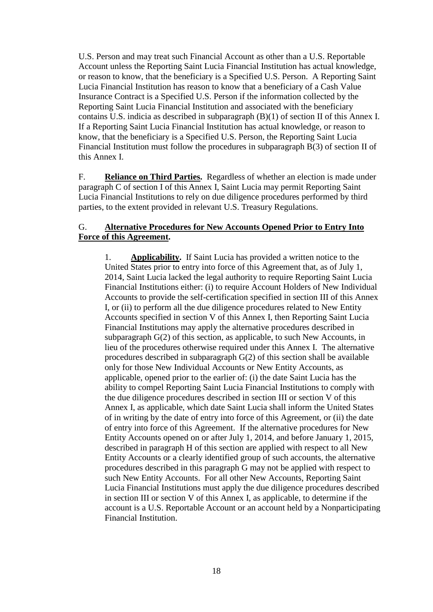U.S. Person and may treat such Financial Account as other than a U.S. Reportable Account unless the Reporting Saint Lucia Financial Institution has actual knowledge, or reason to know, that the beneficiary is a Specified U.S. Person. A Reporting Saint Lucia Financial Institution has reason to know that a beneficiary of a Cash Value Insurance Contract is a Specified U.S. Person if the information collected by the Reporting Saint Lucia Financial Institution and associated with the beneficiary contains U.S. indicia as described in subparagraph (B)(1) of section II of this Annex I. If a Reporting Saint Lucia Financial Institution has actual knowledge, or reason to know, that the beneficiary is a Specified U.S. Person, the Reporting Saint Lucia Financial Institution must follow the procedures in subparagraph B(3) of section II of this Annex I.

F. **Reliance on Third Parties.** Regardless of whether an election is made under paragraph C of section I of this Annex I, Saint Lucia may permit Reporting Saint Lucia Financial Institutions to rely on due diligence procedures performed by third parties, to the extent provided in relevant U.S. Treasury Regulations.

# G. **Alternative Procedures for New Accounts Opened Prior to Entry Into Force of this Agreement.**

1. **Applicability.** If Saint Lucia has provided a written notice to the United States prior to entry into force of this Agreement that, as of July 1, 2014, Saint Lucia lacked the legal authority to require Reporting Saint Lucia Financial Institutions either: (i) to require Account Holders of New Individual Accounts to provide the self-certification specified in section III of this Annex I, or (ii) to perform all the due diligence procedures related to New Entity Accounts specified in section V of this Annex I, then Reporting Saint Lucia Financial Institutions may apply the alternative procedures described in subparagraph G(2) of this section, as applicable, to such New Accounts, in lieu of the procedures otherwise required under this Annex I. The alternative procedures described in subparagraph G(2) of this section shall be available only for those New Individual Accounts or New Entity Accounts, as applicable, opened prior to the earlier of: (i) the date Saint Lucia has the ability to compel Reporting Saint Lucia Financial Institutions to comply with the due diligence procedures described in section III or section V of this Annex I, as applicable, which date Saint Lucia shall inform the United States of in writing by the date of entry into force of this Agreement, or (ii) the date of entry into force of this Agreement. If the alternative procedures for New Entity Accounts opened on or after July 1, 2014, and before January 1, 2015, described in paragraph H of this section are applied with respect to all New Entity Accounts or a clearly identified group of such accounts, the alternative procedures described in this paragraph G may not be applied with respect to such New Entity Accounts. For all other New Accounts, Reporting Saint Lucia Financial Institutions must apply the due diligence procedures described in section III or section V of this Annex I, as applicable, to determine if the account is a U.S. Reportable Account or an account held by a Nonparticipating Financial Institution.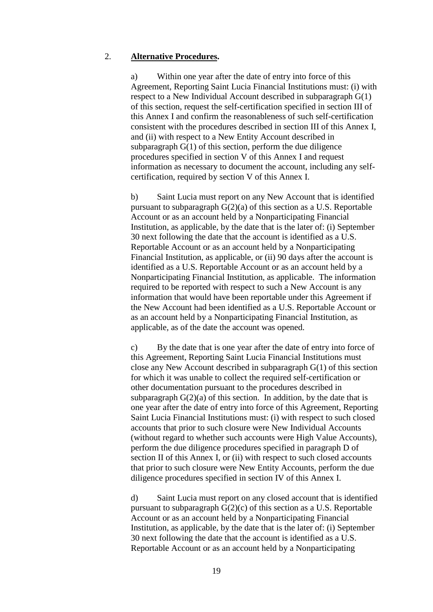#### 2. **Alternative Procedures.**

a) Within one year after the date of entry into force of this Agreement, Reporting Saint Lucia Financial Institutions must: (i) with respect to a New Individual Account described in subparagraph G(1) of this section, request the self-certification specified in section III of this Annex I and confirm the reasonableness of such self-certification consistent with the procedures described in section III of this Annex I, and (ii) with respect to a New Entity Account described in subparagraph G(1) of this section, perform the due diligence procedures specified in section V of this Annex I and request information as necessary to document the account, including any selfcertification, required by section V of this Annex I.

b) Saint Lucia must report on any New Account that is identified pursuant to subparagraph G(2)(a) of this section as a U.S. Reportable Account or as an account held by a Nonparticipating Financial Institution, as applicable, by the date that is the later of: (i) September 30 next following the date that the account is identified as a U.S. Reportable Account or as an account held by a Nonparticipating Financial Institution, as applicable, or (ii) 90 days after the account is identified as a U.S. Reportable Account or as an account held by a Nonparticipating Financial Institution, as applicable. The information required to be reported with respect to such a New Account is any information that would have been reportable under this Agreement if the New Account had been identified as a U.S. Reportable Account or as an account held by a Nonparticipating Financial Institution, as applicable, as of the date the account was opened.

c) By the date that is one year after the date of entry into force of this Agreement, Reporting Saint Lucia Financial Institutions must close any New Account described in subparagraph G(1) of this section for which it was unable to collect the required self-certification or other documentation pursuant to the procedures described in subparagraph  $G(2)(a)$  of this section. In addition, by the date that is one year after the date of entry into force of this Agreement, Reporting Saint Lucia Financial Institutions must: (i) with respect to such closed accounts that prior to such closure were New Individual Accounts (without regard to whether such accounts were High Value Accounts), perform the due diligence procedures specified in paragraph D of section II of this Annex I, or (ii) with respect to such closed accounts that prior to such closure were New Entity Accounts, perform the due diligence procedures specified in section IV of this Annex I.

d) Saint Lucia must report on any closed account that is identified pursuant to subparagraph G(2)(c) of this section as a U.S. Reportable Account or as an account held by a Nonparticipating Financial Institution, as applicable, by the date that is the later of: (i) September 30 next following the date that the account is identified as a U.S. Reportable Account or as an account held by a Nonparticipating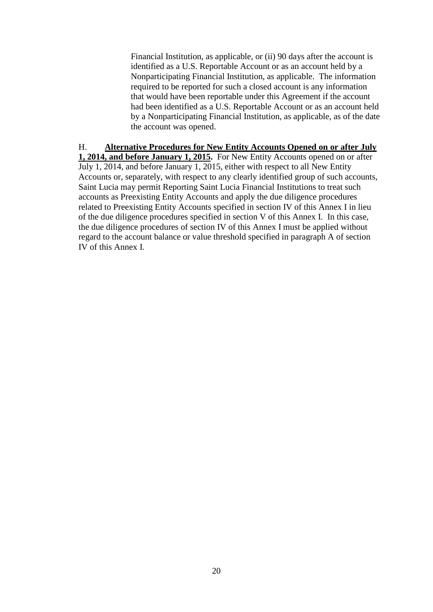Financial Institution, as applicable, or (ii) 90 days after the account is identified as a U.S. Reportable Account or as an account held by a Nonparticipating Financial Institution, as applicable. The information required to be reported for such a closed account is any information that would have been reportable under this Agreement if the account had been identified as a U.S. Reportable Account or as an account held by a Nonparticipating Financial Institution, as applicable, as of the date the account was opened.

H. **Alternative Procedures for New Entity Accounts Opened on or after July 1, 2014, and before January 1, 2015.** For New Entity Accounts opened on or after July 1, 2014, and before January 1, 2015, either with respect to all New Entity Accounts or, separately, with respect to any clearly identified group of such accounts, Saint Lucia may permit Reporting Saint Lucia Financial Institutions to treat such accounts as Preexisting Entity Accounts and apply the due diligence procedures related to Preexisting Entity Accounts specified in section IV of this Annex I in lieu of the due diligence procedures specified in section V of this Annex I. In this case, the due diligence procedures of section IV of this Annex I must be applied without regard to the account balance or value threshold specified in paragraph A of section IV of this Annex I.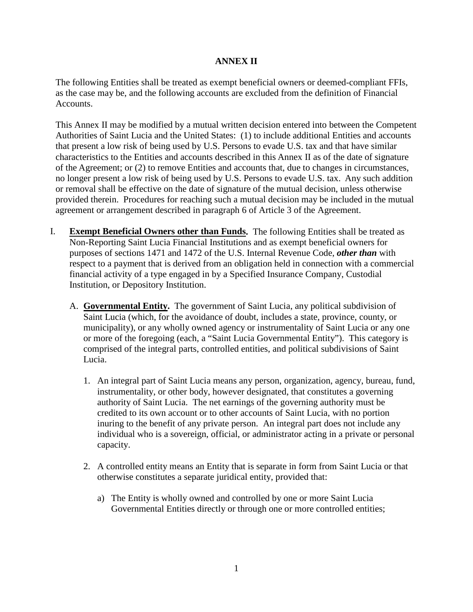#### **ANNEX II**

The following Entities shall be treated as exempt beneficial owners or deemed-compliant FFIs, as the case may be, and the following accounts are excluded from the definition of Financial Accounts.

This Annex II may be modified by a mutual written decision entered into between the Competent Authorities of Saint Lucia and the United States: (1) to include additional Entities and accounts that present a low risk of being used by U.S. Persons to evade U.S. tax and that have similar characteristics to the Entities and accounts described in this Annex II as of the date of signature of the Agreement; or (2) to remove Entities and accounts that, due to changes in circumstances, no longer present a low risk of being used by U.S. Persons to evade U.S. tax. Any such addition or removal shall be effective on the date of signature of the mutual decision, unless otherwise provided therein. Procedures for reaching such a mutual decision may be included in the mutual agreement or arrangement described in paragraph 6 of Article 3 of the Agreement.

- I. **Exempt Beneficial Owners other than Funds.** The following Entities shall be treated as Non-Reporting Saint Lucia Financial Institutions and as exempt beneficial owners for purposes of sections 1471 and 1472 of the U.S. Internal Revenue Code, *other than* with respect to a payment that is derived from an obligation held in connection with a commercial financial activity of a type engaged in by a Specified Insurance Company, Custodial Institution, or Depository Institution.
	- A. **Governmental Entity.** The government of Saint Lucia, any political subdivision of Saint Lucia (which, for the avoidance of doubt, includes a state, province, county, or municipality), or any wholly owned agency or instrumentality of Saint Lucia or any one or more of the foregoing (each, a "Saint Lucia Governmental Entity"). This category is comprised of the integral parts, controlled entities, and political subdivisions of Saint Lucia.
		- 1. An integral part of Saint Lucia means any person, organization, agency, bureau, fund, instrumentality, or other body, however designated, that constitutes a governing authority of Saint Lucia. The net earnings of the governing authority must be credited to its own account or to other accounts of Saint Lucia, with no portion inuring to the benefit of any private person. An integral part does not include any individual who is a sovereign, official, or administrator acting in a private or personal capacity.
		- 2. A controlled entity means an Entity that is separate in form from Saint Lucia or that otherwise constitutes a separate juridical entity, provided that:
			- a) The Entity is wholly owned and controlled by one or more Saint Lucia Governmental Entities directly or through one or more controlled entities;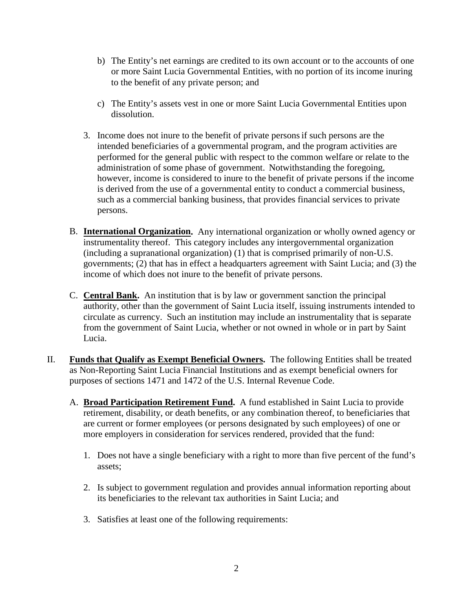- b) The Entity's net earnings are credited to its own account or to the accounts of one or more Saint Lucia Governmental Entities, with no portion of its income inuring to the benefit of any private person; and
- c) The Entity's assets vest in one or more Saint Lucia Governmental Entities upon dissolution.
- 3. Income does not inure to the benefit of private personsif such persons are the intended beneficiaries of a governmental program, and the program activities are performed for the general public with respect to the common welfare or relate to the administration of some phase of government. Notwithstanding the foregoing, however, income is considered to inure to the benefit of private persons if the income is derived from the use of a governmental entity to conduct a commercial business, such as a commercial banking business, that provides financial services to private persons.
- B. **International Organization.** Any international organization or wholly owned agency or instrumentality thereof.This category includes any intergovernmental organization (including a supranational organization) (1) that is comprised primarily of non-U.S. governments; (2) that has in effect a headquarters agreement with Saint Lucia; and (3) the income of which does not inure to the benefit of private persons.
- C. **Central Bank.** An institution that is by law or government sanction the principal authority, other than the government of Saint Lucia itself, issuing instruments intended to circulate as currency. Such an institution may include an instrumentality that is separate from the government of Saint Lucia, whether or not owned in whole or in part by Saint Lucia.
- II. **Funds that Qualify as Exempt Beneficial Owners.** The following Entities shall be treated as Non-Reporting Saint Lucia Financial Institutions and as exempt beneficial owners for purposes of sections 1471 and 1472 of the U.S. Internal Revenue Code.
	- A. **Broad Participation Retirement Fund.** A fund established in Saint Lucia to provide retirement, disability, or death benefits, or any combination thereof, to beneficiaries that are current or former employees (or persons designated by such employees) of one or more employers in consideration for services rendered, provided that the fund:
		- 1. Does not have a single beneficiary with a right to more than five percent of the fund's assets;
		- 2. Is subject to government regulation and provides annual information reporting about its beneficiaries to the relevant tax authorities in Saint Lucia; and
		- 3. Satisfies at least one of the following requirements: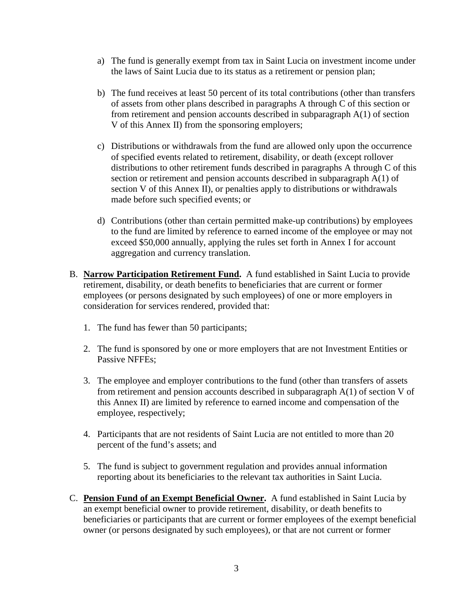- a) The fund is generally exempt from tax in Saint Lucia on investment income under the laws of Saint Lucia due to its status as a retirement or pension plan;
- b) The fund receives at least 50 percent of its total contributions (other than transfers of assets from other plans described in paragraphs A through C of this section or from retirement and pension accounts described in subparagraph A(1) of section V of this Annex II) from the sponsoring employers;
- c) Distributions or withdrawals from the fund are allowed only upon the occurrence of specified events related to retirement, disability, or death (except rollover distributions to other retirement funds described in paragraphs A through C of this section or retirement and pension accounts described in subparagraph A(1) of section V of this Annex II), or penalties apply to distributions or withdrawals made before such specified events; or
- d) Contributions (other than certain permitted make-up contributions) by employees to the fund are limited by reference to earned income of the employee or may not exceed \$50,000 annually, applying the rules set forth in Annex I for account aggregation and currency translation.
- B. **Narrow Participation Retirement Fund.** A fund established in Saint Lucia to provide retirement, disability, or death benefits to beneficiaries that are current or former employees (or persons designated by such employees) of one or more employers in consideration for services rendered, provided that:
	- 1. The fund has fewer than 50 participants;
	- 2. The fund is sponsored by one or more employers that are not Investment Entities or Passive NFFEs;
	- 3. The employee and employer contributions to the fund (other than transfers of assets from retirement and pension accounts described in subparagraph A(1) of section V of this Annex II) are limited by reference to earned income and compensation of the employee, respectively;
	- 4. Participants that are not residents of Saint Lucia are not entitled to more than 20 percent of the fund's assets; and
	- 5. The fund is subject to government regulation and provides annual information reporting about its beneficiaries to the relevant tax authorities in Saint Lucia.
- C. **Pension Fund of an Exempt Beneficial Owner.** A fund established in Saint Lucia by an exempt beneficial owner to provide retirement, disability, or death benefits to beneficiaries or participants that are current or former employees of the exempt beneficial owner (or persons designated by such employees), or that are not current or former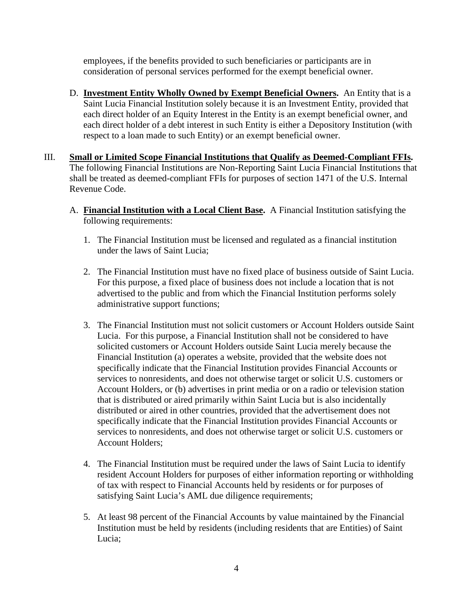employees, if the benefits provided to such beneficiaries or participants are in consideration of personal services performed for the exempt beneficial owner.

- D. **Investment Entity Wholly Owned by Exempt Beneficial Owners.** An Entity that is a Saint Lucia Financial Institution solely because it is an Investment Entity, provided that each direct holder of an Equity Interest in the Entity is an exempt beneficial owner, and each direct holder of a debt interest in such Entity is either a Depository Institution (with respect to a loan made to such Entity) or an exempt beneficial owner.
- III. **Small or Limited Scope Financial Institutions that Qualify as Deemed-Compliant FFIs.** The following Financial Institutions are Non-Reporting Saint Lucia Financial Institutions that shall be treated as deemed-compliant FFIs for purposes of section 1471 of the U.S. Internal Revenue Code.
	- A. **Financial Institution with a Local Client Base.** A Financial Institution satisfying the following requirements:
		- 1. The Financial Institution must be licensed and regulated as a financial institution under the laws of Saint Lucia;
		- 2. The Financial Institution must have no fixed place of business outside of Saint Lucia. For this purpose, a fixed place of business does not include a location that is not advertised to the public and from which the Financial Institution performs solely administrative support functions;
		- 3. The Financial Institution must not solicit customers or Account Holders outside Saint Lucia. For this purpose, a Financial Institution shall not be considered to have solicited customers or Account Holders outside Saint Lucia merely because the Financial Institution (a) operates a website, provided that the website does not specifically indicate that the Financial Institution provides Financial Accounts or services to nonresidents, and does not otherwise target or solicit U.S. customers or Account Holders, or (b) advertises in print media or on a radio or television station that is distributed or aired primarily within Saint Lucia but is also incidentally distributed or aired in other countries, provided that the advertisement does not specifically indicate that the Financial Institution provides Financial Accounts or services to nonresidents, and does not otherwise target or solicit U.S. customers or Account Holders;
		- 4. The Financial Institution must be required under the laws of Saint Lucia to identify resident Account Holders for purposes of either information reporting or withholding of tax with respect to Financial Accounts held by residents or for purposes of satisfying Saint Lucia's AML due diligence requirements;
		- 5. At least 98 percent of the Financial Accounts by value maintained by the Financial Institution must be held by residents (including residents that are Entities) of Saint Lucia;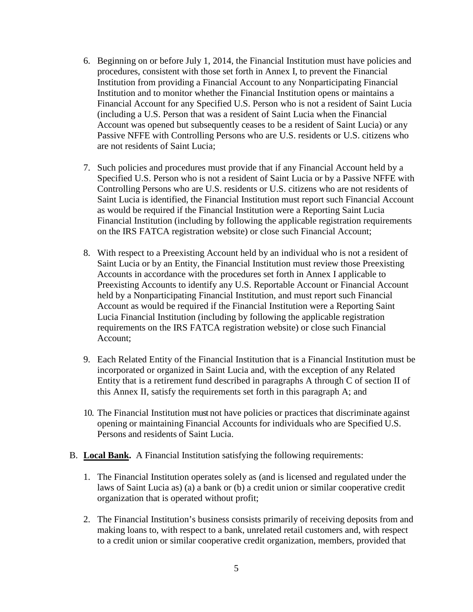- 6. Beginning on or before July 1, 2014, the Financial Institution must have policies and procedures, consistent with those set forth in Annex I, to prevent the Financial Institution from providing a Financial Account to any Nonparticipating Financial Institution and to monitor whether the Financial Institution opens or maintains a Financial Account for any Specified U.S. Person who is not a resident of Saint Lucia (including a U.S. Person that was a resident of Saint Lucia when the Financial Account was opened but subsequently ceases to be a resident of Saint Lucia) or any Passive NFFE with Controlling Persons who are U.S. residents or U.S. citizens who are not residents of Saint Lucia;
- 7. Such policies and procedures must provide that if any Financial Account held by a Specified U.S. Person who is not a resident of Saint Lucia or by a Passive NFFE with Controlling Persons who are U.S. residents or U.S. citizens who are not residents of Saint Lucia is identified, the Financial Institution must report such Financial Account as would be required if the Financial Institution were a Reporting Saint Lucia Financial Institution (including by following the applicable registration requirements on the IRS FATCA registration website) or close such Financial Account;
- 8. With respect to a Preexisting Account held by an individual who is not a resident of Saint Lucia or by an Entity, the Financial Institution must review those Preexisting Accounts in accordance with the procedures set forth in Annex I applicable to Preexisting Accounts to identify any U.S. Reportable Account or Financial Account held by a Nonparticipating Financial Institution, and must report such Financial Account as would be required if the Financial Institution were a Reporting Saint Lucia Financial Institution (including by following the applicable registration requirements on the IRS FATCA registration website) or close such Financial Account;
- 9. Each Related Entity of the Financial Institution that is a Financial Institution must be incorporated or organized in Saint Lucia and, with the exception of any Related Entity that is a retirement fund described in paragraphs A through C of section II of this Annex II, satisfy the requirements set forth in this paragraph A; and
- 10. The Financial Institution must not have policies or practices that discriminate against opening or maintaining Financial Accounts for individuals who are Specified U.S. Persons and residents of Saint Lucia.
- B. **Local Bank.** A Financial Institution satisfying the following requirements:
	- 1. The Financial Institution operates solely as (and is licensed and regulated under the laws of Saint Lucia as) (a) a bank or (b) a credit union or similar cooperative credit organization that is operated without profit;
	- 2. The Financial Institution's business consists primarily of receiving deposits from and making loans to, with respect to a bank, unrelated retail customers and, with respect to a credit union or similar cooperative credit organization, members, provided that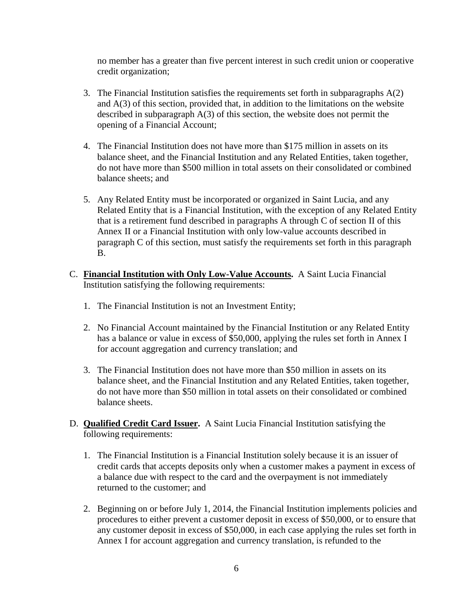no member has a greater than five percent interest in such credit union or cooperative credit organization;

- 3. The Financial Institution satisfies the requirements set forth in subparagraphs A(2) and A(3) of this section, provided that, in addition to the limitations on the website described in subparagraph A(3) of this section, the website does not permit the opening of a Financial Account;
- 4. The Financial Institution does not have more than \$175 million in assets on its balance sheet, and the Financial Institution and any Related Entities, taken together, do not have more than \$500 million in total assets on their consolidated or combined balance sheets; and
- 5. Any Related Entity must be incorporated or organized in Saint Lucia, and any Related Entity that is a Financial Institution, with the exception of any Related Entity that is a retirement fund described in paragraphs A through C of section II of this Annex II or a Financial Institution with only low-value accounts described in paragraph C of this section, must satisfy the requirements set forth in this paragraph B.
- C. **Financial Institution with Only Low-Value Accounts.** A Saint Lucia Financial Institution satisfying the following requirements:
	- 1. The Financial Institution is not an Investment Entity;
	- 2. No Financial Account maintained by the Financial Institution or any Related Entity has a balance or value in excess of \$50,000, applying the rules set forth in Annex I for account aggregation and currency translation; and
	- 3. The Financial Institution does not have more than \$50 million in assets on its balance sheet, and the Financial Institution and any Related Entities, taken together, do not have more than \$50 million in total assets on their consolidated or combined balance sheets.
- D. **Qualified Credit Card Issuer.** A Saint Lucia Financial Institution satisfying the following requirements:
	- 1. The Financial Institution is a Financial Institution solely because it is an issuer of credit cards that accepts deposits only when a customer makes a payment in excess of a balance due with respect to the card and the overpayment is not immediately returned to the customer; and
	- 2. Beginning on or before July 1, 2014, the Financial Institution implements policies and procedures to either prevent a customer deposit in excess of \$50,000, or to ensure that any customer deposit in excess of \$50,000, in each case applying the rules set forth in Annex I for account aggregation and currency translation, is refunded to the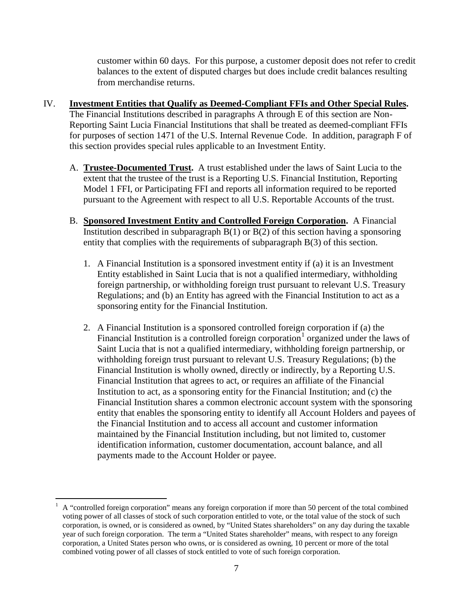customer within 60 days. For this purpose, a customer deposit does not refer to credit balances to the extent of disputed charges but does include credit balances resulting from merchandise returns.

- IV. **Investment Entities that Qualify as Deemed-Compliant FFIs and Other Special Rules.** The Financial Institutions described in paragraphs A through E of this section are Non-Reporting Saint Lucia Financial Institutions that shall be treated as deemed-compliant FFIs for purposes of section 1471 of the U.S. Internal Revenue Code. In addition, paragraph F of this section provides special rules applicable to an Investment Entity.
	- A. **Trustee-Documented Trust.** A trust established under the laws of Saint Lucia to the extent that the trustee of the trust is a Reporting U.S. Financial Institution, Reporting Model 1 FFI, or Participating FFI and reports all information required to be reported pursuant to the Agreement with respect to all U.S. Reportable Accounts of the trust.
	- B. **Sponsored Investment Entity and Controlled Foreign Corporation.** A Financial Institution described in subparagraph  $B(1)$  or  $B(2)$  of this section having a sponsoring entity that complies with the requirements of subparagraph B(3) of this section.
		- 1. A Financial Institution is a sponsored investment entity if (a) it is an Investment Entity established in Saint Lucia that is not a qualified intermediary, withholding foreign partnership, or withholding foreign trust pursuant to relevant U.S. Treasury Regulations; and (b) an Entity has agreed with the Financial Institution to act as a sponsoring entity for the Financial Institution.
		- 2. A Financial Institution is a sponsored controlled foreign corporation if (a) the Financial Institution is a controlled foreign corporation<sup>[1](#page-43-0)</sup> organized under the laws of Saint Lucia that is not a qualified intermediary, withholding foreign partnership, or withholding foreign trust pursuant to relevant U.S. Treasury Regulations; (b) the Financial Institution is wholly owned, directly or indirectly, by a Reporting U.S. Financial Institution that agrees to act, or requires an affiliate of the Financial Institution to act, as a sponsoring entity for the Financial Institution; and (c) the Financial Institution shares a common electronic account system with the sponsoring entity that enables the sponsoring entity to identify all Account Holders and payees of the Financial Institution and to access all account and customer information maintained by the Financial Institution including, but not limited to, customer identification information, customer documentation, account balance, and all payments made to the Account Holder or payee.

<span id="page-43-0"></span> <sup>1</sup> A "controlled foreign corporation" means any foreign corporation if more than 50 percent of the total combined voting power of all classes of stock of such corporation entitled to vote, or the total value of the stock of such corporation, is owned, or is considered as owned, by "United States shareholders" on any day during the taxable year of such foreign corporation. The term a "United States shareholder" means, with respect to any foreign corporation, a United States person who owns, or is considered as owning, 10 percent or more of the total combined voting power of all classes of stock entitled to vote of such foreign corporation.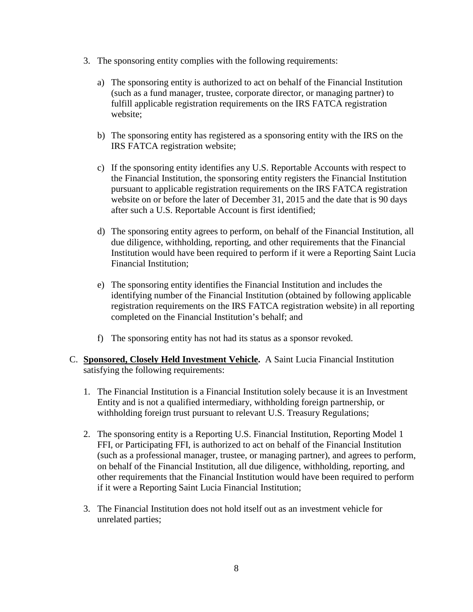- 3. The sponsoring entity complies with the following requirements:
	- a) The sponsoring entity is authorized to act on behalf of the Financial Institution (such as a fund manager, trustee, corporate director, or managing partner) to fulfill applicable registration requirements on the IRS FATCA registration website;
	- b) The sponsoring entity has registered as a sponsoring entity with the IRS on the IRS FATCA registration website;
	- c) If the sponsoring entity identifies any U.S. Reportable Accounts with respect to the Financial Institution, the sponsoring entity registers the Financial Institution pursuant to applicable registration requirements on the IRS FATCA registration website on or before the later of December 31, 2015 and the date that is 90 days after such a U.S. Reportable Account is first identified;
	- d) The sponsoring entity agrees to perform, on behalf of the Financial Institution, all due diligence, withholding, reporting, and other requirements that the Financial Institution would have been required to perform if it were a Reporting Saint Lucia Financial Institution;
	- e) The sponsoring entity identifies the Financial Institution and includes the identifying number of the Financial Institution (obtained by following applicable registration requirements on the IRS FATCA registration website) in all reporting completed on the Financial Institution's behalf; and
	- f) The sponsoring entity has not had its status as a sponsor revoked.
- C. **Sponsored, Closely Held Investment Vehicle.** A Saint Lucia Financial Institution satisfying the following requirements:
	- 1. The Financial Institution is a Financial Institution solely because it is an Investment Entity and is not a qualified intermediary, withholding foreign partnership, or withholding foreign trust pursuant to relevant U.S. Treasury Regulations;
	- 2. The sponsoring entity is a Reporting U.S. Financial Institution, Reporting Model 1 FFI, or Participating FFI, is authorized to act on behalf of the Financial Institution (such as a professional manager, trustee, or managing partner), and agrees to perform, on behalf of the Financial Institution, all due diligence, withholding, reporting, and other requirements that the Financial Institution would have been required to perform if it were a Reporting Saint Lucia Financial Institution;
	- 3. The Financial Institution does not hold itself out as an investment vehicle for unrelated parties;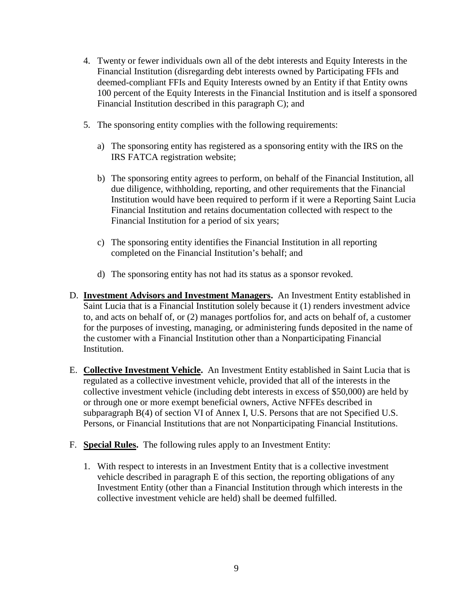- 4. Twenty or fewer individuals own all of the debt interests and Equity Interests in the Financial Institution (disregarding debt interests owned by Participating FFIs and deemed-compliant FFIs and Equity Interests owned by an Entity if that Entity owns 100 percent of the Equity Interests in the Financial Institution and is itself a sponsored Financial Institution described in this paragraph C); and
- 5. The sponsoring entity complies with the following requirements:
	- a) The sponsoring entity has registered as a sponsoring entity with the IRS on the IRS FATCA registration website;
	- b) The sponsoring entity agrees to perform, on behalf of the Financial Institution, all due diligence, withholding, reporting, and other requirements that the Financial Institution would have been required to perform if it were a Reporting Saint Lucia Financial Institution and retains documentation collected with respect to the Financial Institution for a period of six years;
	- c) The sponsoring entity identifies the Financial Institution in all reporting completed on the Financial Institution's behalf; and
	- d) The sponsoring entity has not had its status as a sponsor revoked.
- D. **Investment Advisors and Investment Managers.** An Investment Entity established in Saint Lucia that is a Financial Institution solely because it (1) renders investment advice to, and acts on behalf of, or (2) manages portfolios for, and acts on behalf of, a customer for the purposes of investing, managing, or administering funds deposited in the name of the customer with a Financial Institution other than a Nonparticipating Financial Institution.
- E. **Collective Investment Vehicle.** An Investment Entity established in Saint Lucia that is regulated as a collective investment vehicle, provided that all of the interests in the collective investment vehicle (including debt interests in excess of \$50,000) are held by or through one or more exempt beneficial owners, Active NFFEs described in subparagraph B(4) of section VI of Annex I, U.S. Persons that are not Specified U.S. Persons, or Financial Institutions that are not Nonparticipating Financial Institutions.
- F. **Special Rules.** The following rules apply to an Investment Entity:
	- 1. With respect to interests in an Investment Entity that is a collective investment vehicle described in paragraph E of this section, the reporting obligations of any Investment Entity (other than a Financial Institution through which interests in the collective investment vehicle are held) shall be deemed fulfilled.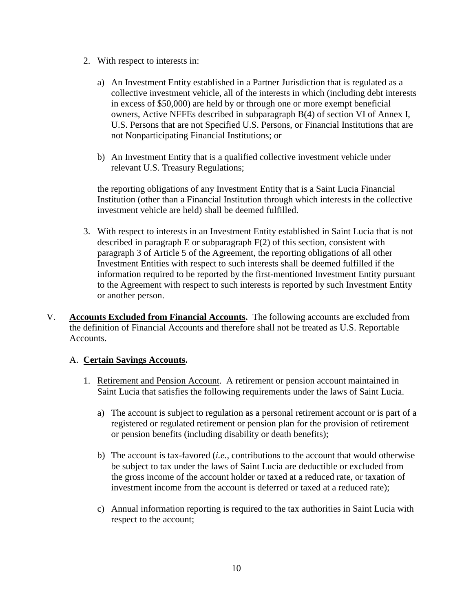- 2. With respect to interests in:
	- a) An Investment Entity established in a Partner Jurisdiction that is regulated as a collective investment vehicle, all of the interests in which (including debt interests in excess of \$50,000) are held by or through one or more exempt beneficial owners, Active NFFEs described in subparagraph B(4) of section VI of Annex I, U.S. Persons that are not Specified U.S. Persons, or Financial Institutions that are not Nonparticipating Financial Institutions; or
	- b) An Investment Entity that is a qualified collective investment vehicle under relevant U.S. Treasury Regulations;

the reporting obligations of any Investment Entity that is a Saint Lucia Financial Institution (other than a Financial Institution through which interests in the collective investment vehicle are held) shall be deemed fulfilled.

- 3. With respect to interests in an Investment Entity established in Saint Lucia that is not described in paragraph E or subparagraph F(2) of this section, consistent with paragraph 3 of Article 5 of the Agreement, the reporting obligations of all other Investment Entities with respect to such interests shall be deemed fulfilled if the information required to be reported by the first-mentioned Investment Entity pursuant to the Agreement with respect to such interests is reported by such Investment Entity or another person.
- V. **Accounts Excluded from Financial Accounts.** The following accounts are excluded from the definition of Financial Accounts and therefore shall not be treated as U.S. Reportable Accounts.

# A. **Certain Savings Accounts.**

- 1. Retirement and Pension Account. A retirement or pension account maintained in Saint Lucia that satisfies the following requirements under the laws of Saint Lucia.
	- a) The account is subject to regulation as a personal retirement account or is part of a registered or regulated retirement or pension plan for the provision of retirement or pension benefits (including disability or death benefits);
	- b) The account is tax-favored (*i.e.*, contributions to the account that would otherwise be subject to tax under the laws of Saint Lucia are deductible or excluded from the gross income of the account holder or taxed at a reduced rate, or taxation of investment income from the account is deferred or taxed at a reduced rate);
	- c) Annual information reporting is required to the tax authorities in Saint Lucia with respect to the account;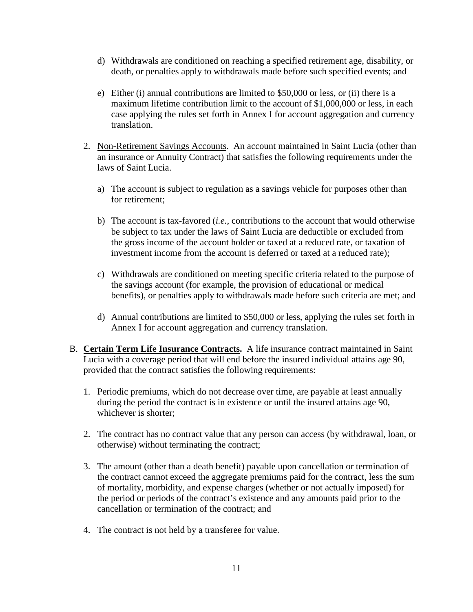- d) Withdrawals are conditioned on reaching a specified retirement age, disability, or death, or penalties apply to withdrawals made before such specified events; and
- e) Either (i) annual contributions are limited to \$50,000 or less, or (ii) there is a maximum lifetime contribution limit to the account of \$1,000,000 or less, in each case applying the rules set forth in Annex I for account aggregation and currency translation.
- 2. Non-Retirement Savings Accounts. An account maintained in Saint Lucia (other than an insurance or Annuity Contract) that satisfies the following requirements under the laws of Saint Lucia.
	- a) The account is subject to regulation as a savings vehicle for purposes other than for retirement;
	- b) The account is tax-favored (*i.e.*, contributions to the account that would otherwise be subject to tax under the laws of Saint Lucia are deductible or excluded from the gross income of the account holder or taxed at a reduced rate, or taxation of investment income from the account is deferred or taxed at a reduced rate);
	- c) Withdrawals are conditioned on meeting specific criteria related to the purpose of the savings account (for example, the provision of educational or medical benefits), or penalties apply to withdrawals made before such criteria are met; and
	- d) Annual contributions are limited to \$50,000 or less, applying the rules set forth in Annex I for account aggregation and currency translation.
- B. **Certain Term Life Insurance Contracts.** A life insurance contract maintained in Saint Lucia with a coverage period that will end before the insured individual attains age 90, provided that the contract satisfies the following requirements:
	- 1. Periodic premiums, which do not decrease over time, are payable at least annually during the period the contract is in existence or until the insured attains age 90, whichever is shorter;
	- 2. The contract has no contract value that any person can access (by withdrawal, loan, or otherwise) without terminating the contract;
	- 3. The amount (other than a death benefit) payable upon cancellation or termination of the contract cannot exceed the aggregate premiums paid for the contract, less the sum of mortality, morbidity, and expense charges (whether or not actually imposed) for the period or periods of the contract's existence and any amounts paid prior to the cancellation or termination of the contract; and
	- 4. The contract is not held by a transferee for value.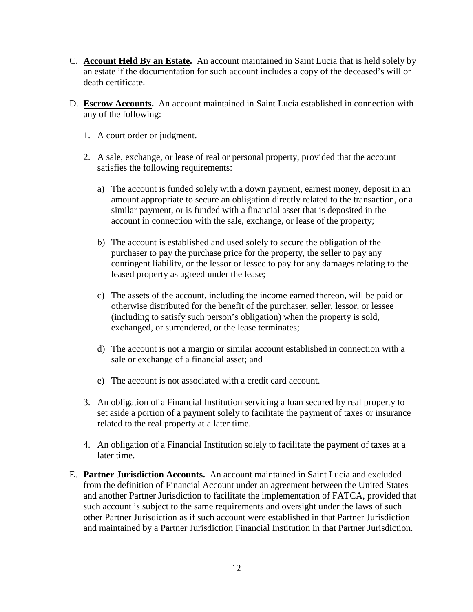- C. **Account Held By an Estate.** An account maintained in Saint Lucia that is held solely by an estate if the documentation for such account includes a copy of the deceased's will or death certificate.
- D. **Escrow Accounts.** An account maintained in Saint Lucia established in connection with any of the following:
	- 1. A court order or judgment.
	- 2. A sale, exchange, or lease of real or personal property, provided that the account satisfies the following requirements:
		- a) The account is funded solely with a down payment, earnest money, deposit in an amount appropriate to secure an obligation directly related to the transaction, or a similar payment, or is funded with a financial asset that is deposited in the account in connection with the sale, exchange, or lease of the property;
		- b) The account is established and used solely to secure the obligation of the purchaser to pay the purchase price for the property, the seller to pay any contingent liability, or the lessor or lessee to pay for any damages relating to the leased property as agreed under the lease;
		- c) The assets of the account, including the income earned thereon, will be paid or otherwise distributed for the benefit of the purchaser, seller, lessor, or lessee (including to satisfy such person's obligation) when the property is sold, exchanged, or surrendered, or the lease terminates;
		- d) The account is not a margin or similar account established in connection with a sale or exchange of a financial asset; and
		- e) The account is not associated with a credit card account.
	- 3. An obligation of a Financial Institution servicing a loan secured by real property to set aside a portion of a payment solely to facilitate the payment of taxes or insurance related to the real property at a later time.
	- 4. An obligation of a Financial Institution solely to facilitate the payment of taxes at a later time.
- E. **Partner Jurisdiction Accounts.** An account maintained in Saint Lucia and excluded from the definition of Financial Account under an agreement between the United States and another Partner Jurisdiction to facilitate the implementation of FATCA, provided that such account is subject to the same requirements and oversight under the laws of such other Partner Jurisdiction as if such account were established in that Partner Jurisdiction and maintained by a Partner Jurisdiction Financial Institution in that Partner Jurisdiction.